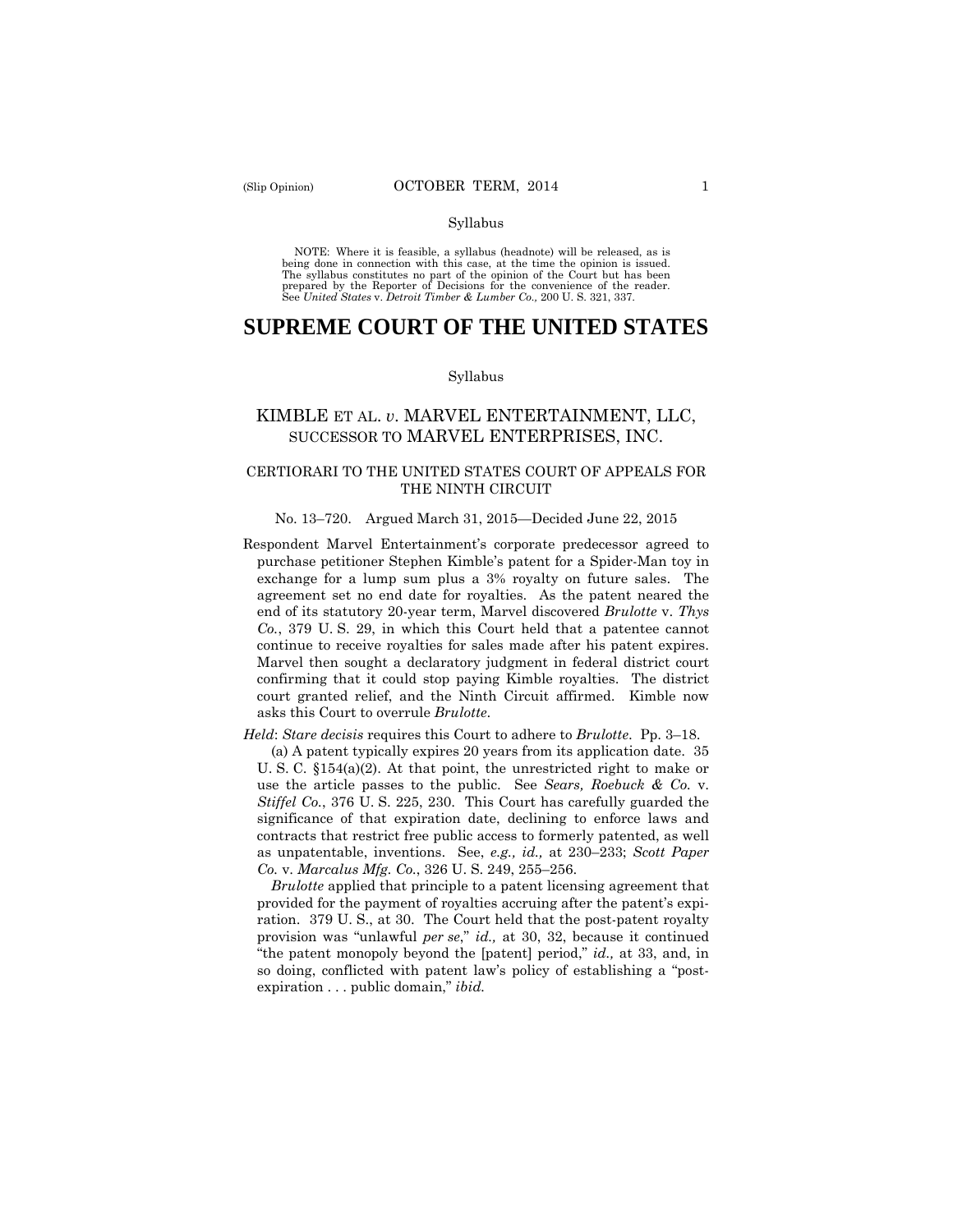#### Syllabus

 NOTE: Where it is feasible, a syllabus (headnote) will be released, as is being done in connection with this case, at the time the opinion is issued. The syllabus constitutes no part of the opinion of the Court but has been<br>prepared by the Reporter of Decisions for the convenience of the reader.<br>See United States v. Detroit Timber & Lumber Co., 200 U. S. 321, 337.

# **SUPREME COURT OF THE UNITED STATES**

#### Syllabus

## KIMBLE ET AL. *v*. MARVEL ENTERTAINMENT, LLC, SUCCESSOR TO MARVEL ENTERPRISES, INC.

## CERTIORARI TO THE UNITED STATES COURT OF APPEALS FOR THE NINTH CIRCUIT

## No. 13–720. Argued March 31, 2015—Decided June 22, 2015

 continue to receive royalties for sales made after his patent expires. Respondent Marvel Entertainment's corporate predecessor agreed to purchase petitioner Stephen Kimble's patent for a Spider-Man toy in exchange for a lump sum plus a 3% royalty on future sales. The agreement set no end date for royalties. As the patent neared the end of its statutory 20-year term, Marvel discovered *Brulotte* v. *Thys Co.*, 379 U. S. 29, in which this Court held that a patentee cannot Marvel then sought a declaratory judgment in federal district court confirming that it could stop paying Kimble royalties. The district court granted relief, and the Ninth Circuit affirmed. Kimble now asks this Court to overrule *Brulotte*.

*Held*: *Stare decisis* requires this Court to adhere to *Brulotte*. Pp. 3–18.

(a) A patent typically expires 20 years from its application date. 35 U. S. C. §154(a)(2). At that point, the unrestricted right to make or use the article passes to the public. See *Sears, Roebuck & Co.* v. *Stiffel Co.*, 376 U. S. 225, 230. This Court has carefully guarded the significance of that expiration date, declining to enforce laws and contracts that restrict free public access to formerly patented, as well as unpatentable, inventions. See, *e.g., id.,* at 230–233; *Scott Paper Co.* v. *Marcalus Mfg. Co.*, 326 U. S. 249, 255–256.

*Brulotte* applied that principle to a patent licensing agreement that provided for the payment of royalties accruing after the patent's expiration. 379 U. S., at 30. The Court held that the post-patent royalty provision was "unlawful *per se*," *id.,* at 30, 32, because it continued "the patent monopoly beyond the [patent] period," *id.,* at 33, and, in so doing, conflicted with patent law's policy of establishing a "postexpiration . . . public domain," *ibid.*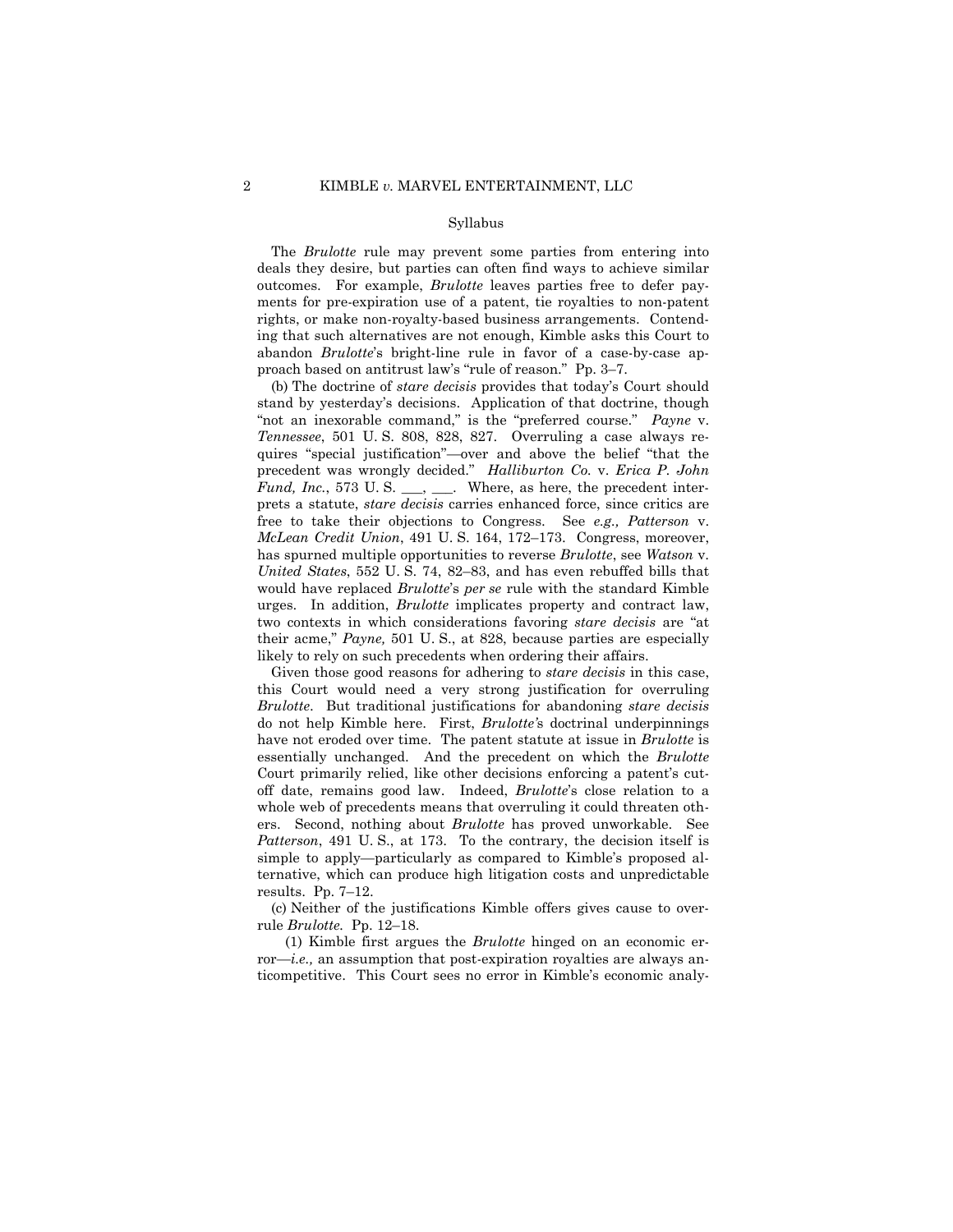#### Syllabus

The *Brulotte* rule may prevent some parties from entering into deals they desire, but parties can often find ways to achieve similar outcomes. For example, *Brulotte* leaves parties free to defer payments for pre-expiration use of a patent, tie royalties to non-patent rights, or make non-royalty-based business arrangements. Contending that such alternatives are not enough, Kimble asks this Court to abandon *Brulotte*'s bright-line rule in favor of a case-by-case approach based on antitrust law's "rule of reason." Pp. 3–7.

(b) The doctrine of *stare decisis* provides that today's Court should stand by yesterday's decisions. Application of that doctrine, though "not an inexorable command," is the "preferred course." *Payne* v. *Tennessee*, 501 U. S. 808, 828, 827. Overruling a case always requires "special justification"—over and above the belief "that the precedent was wrongly decided." *Halliburton Co.* v. *Erica P. John Fund, Inc.*, 573 U.S. \_\_\_, \_\_\_. Where, as here, the precedent interprets a statute, *stare decisis* carries enhanced force, since critics are free to take their objections to Congress. See *e.g., Patterson* v. *McLean Credit Union*, 491 U. S. 164, 172–173. Congress, moreover, has spurned multiple opportunities to reverse *Brulotte*, see *Watson* v. *United States*, 552 U. S. 74, 82–83, and has even rebuffed bills that would have replaced *Brulotte*'s *per se* rule with the standard Kimble urges. In addition, *Brulotte* implicates property and contract law, two contexts in which considerations favoring *stare decisis* are "at their acme," *Payne,* 501 U. S., at 828, because parties are especially likely to rely on such precedents when ordering their affairs.

Given those good reasons for adhering to *stare decisis* in this case, this Court would need a very strong justification for overruling *Brulotte*. But traditional justifications for abandoning *stare decisis*  do not help Kimble here. First, *Brulotte'*s doctrinal underpinnings have not eroded over time. The patent statute at issue in *Brulotte* is essentially unchanged. And the precedent on which the *Brulotte*  Court primarily relied, like other decisions enforcing a patent's cutoff date, remains good law. Indeed, *Brulotte*'s close relation to a whole web of precedents means that overruling it could threaten others. Second, nothing about *Brulotte* has proved unworkable. See *Patterson*, 491 U. S., at 173. To the contrary, the decision itself is simple to apply—particularly as compared to Kimble's proposed alternative, which can produce high litigation costs and unpredictable results. Pp. 7–12.

 rule *Brulotte.* Pp. 12–18. (c) Neither of the justifications Kimble offers gives cause to over-

(1) Kimble first argues the *Brulotte* hinged on an economic error—*i.e.,* an assumption that post-expiration royalties are always anticompetitive. This Court sees no error in Kimble's economic analy-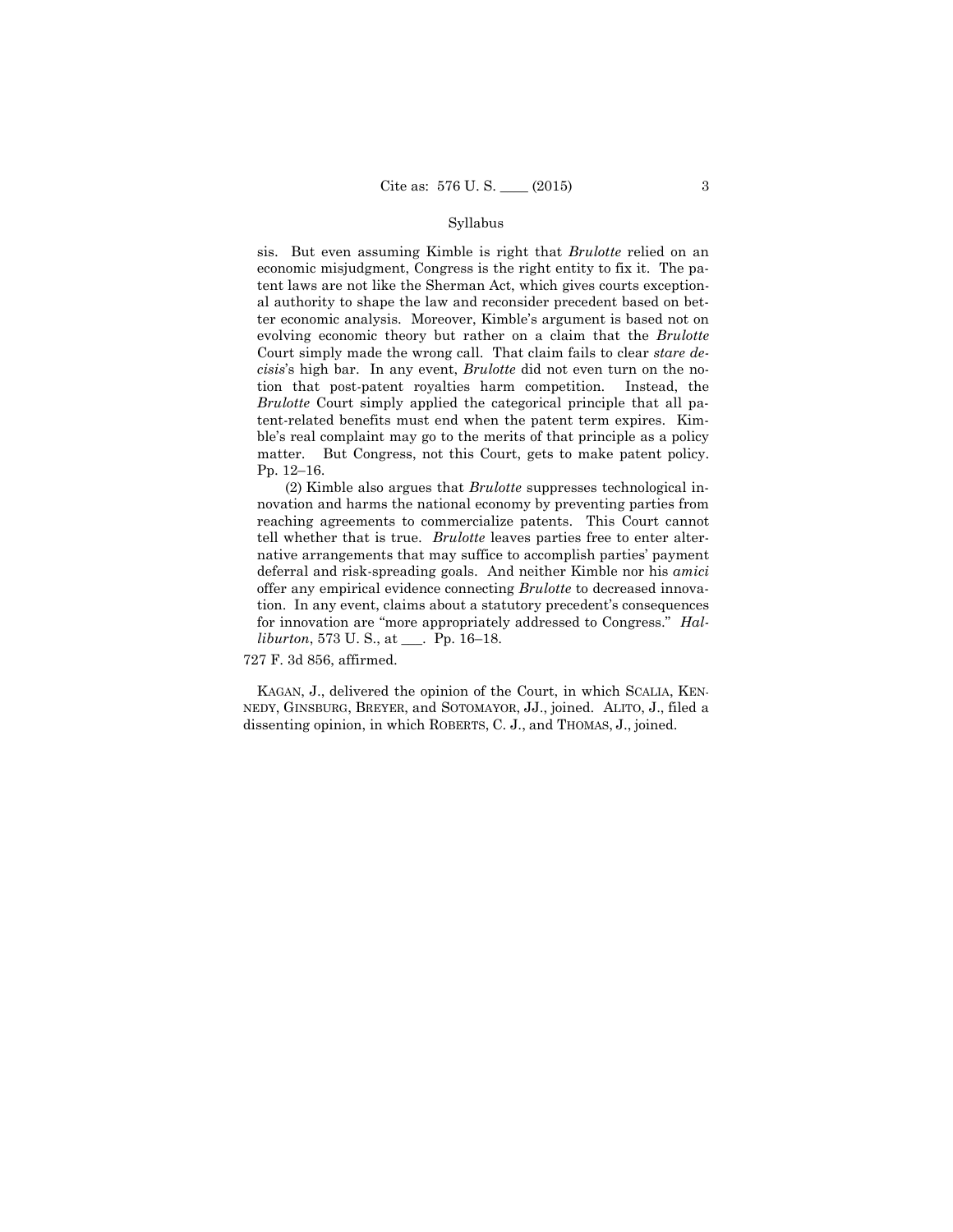### Syllabus

sis. But even assuming Kimble is right that *Brulotte* relied on an economic misjudgment, Congress is the right entity to fix it. The patent laws are not like the Sherman Act, which gives courts exceptional authority to shape the law and reconsider precedent based on better economic analysis. Moreover, Kimble's argument is based not on evolving economic theory but rather on a claim that the *Brulotte*  Court simply made the wrong call. That claim fails to clear *stare decisis*'s high bar. In any event, *Brulotte* did not even turn on the notion that post-patent royalties harm competition. Instead, the *Brulotte* Court simply applied the categorical principle that all patent-related benefits must end when the patent term expires. Kimble's real complaint may go to the merits of that principle as a policy matter. But Congress, not this Court, gets to make patent policy. Pp. 12–16.

(2) Kimble also argues that *Brulotte* suppresses technological innovation and harms the national economy by preventing parties from reaching agreements to commercialize patents. This Court cannot tell whether that is true. *Brulotte* leaves parties free to enter alternative arrangements that may suffice to accomplish parties' payment deferral and risk-spreading goals. And neither Kimble nor his *amici*  offer any empirical evidence connecting *Brulotte* to decreased innovation. In any event, claims about a statutory precedent's consequences for innovation are "more appropriately addressed to Congress." *Halliburton*, 573 U. S., at \_\_\_. Pp. 16–18.

727 F. 3d 856, affirmed.

 KAGAN, J., delivered the opinion of the Court, in which SCALIA, KEN- NEDY, GINSBURG, BREYER, and SOTOMAYOR, JJ., joined. ALITO, J., filed a dissenting opinion, in which ROBERTS, C. J., and THOMAS, J., joined.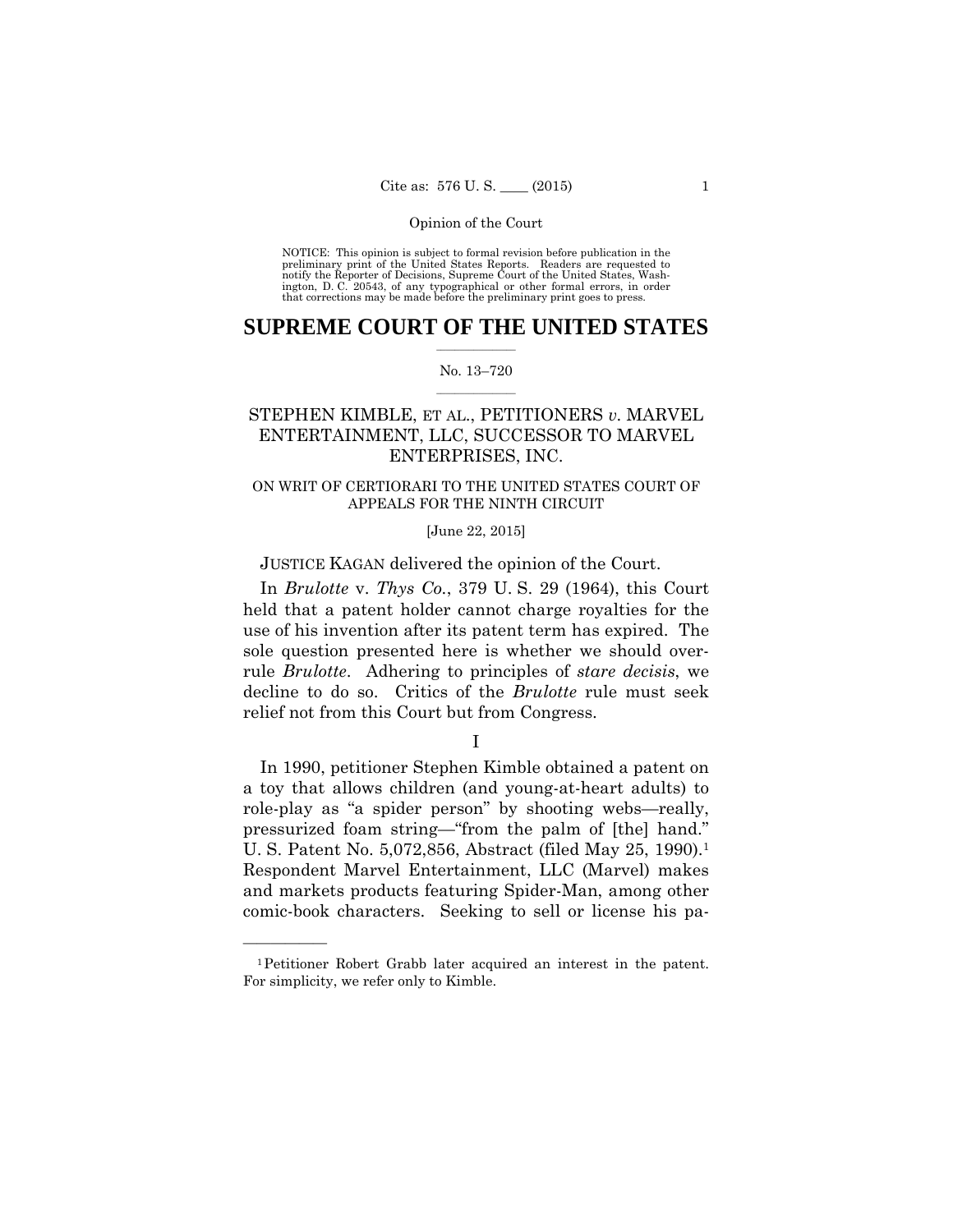preliminary print of the United States Reports. Readers are requested to notify the Reporter of Decisions, Supreme Court of the United States, Wash- ington, D. C. 20543, of any typographical or other formal errors, in order that corrections may be made before the preliminary print goes to press. NOTICE: This opinion is subject to formal revision before publication in the

## $\frac{1}{2}$  , where  $\frac{1}{2}$ **SUPREME COURT OF THE UNITED STATES**

### $\frac{1}{2}$  ,  $\frac{1}{2}$  ,  $\frac{1}{2}$  ,  $\frac{1}{2}$  ,  $\frac{1}{2}$  ,  $\frac{1}{2}$ No. 13–720

## STEPHEN KIMBLE, ET AL., PETITIONERS *v.* MARVEL ENTERTAINMENT, LLC, SUCCESSOR TO MARVEL ENTERPRISES, INC.

## ON WRIT OF CERTIORARI TO THE UNITED STATES COURT OF APPEALS FOR THE NINTH CIRCUIT

## [June 22, 2015]

### JUSTICE KAGAN delivered the opinion of the Court.

In *Brulotte* v. *Thys Co.*, 379 U. S. 29 (1964), this Court held that a patent holder cannot charge royalties for the use of his invention after its patent term has expired. The sole question presented here is whether we should overrule *Brulotte*. Adhering to principles of *stare decisis*, we decline to do so. Critics of the *Brulotte* rule must seek relief not from this Court but from Congress.

I

In 1990, petitioner Stephen Kimble obtained a patent on a toy that allows children (and young-at-heart adults) to role-play as "a spider person" by shooting webs—really, pressurized foam string—"from the palm of [the] hand." U. S. Patent No. 5,072,856, Abstract (filed May 25, 1990).<sup>1</sup> Respondent Marvel Entertainment, LLC (Marvel) makes and markets products featuring Spider-Man, among other comic-book characters. Seeking to sell or license his pa-

——————

 1Petitioner Robert Grabb later acquired an interest in the patent. For simplicity, we refer only to Kimble.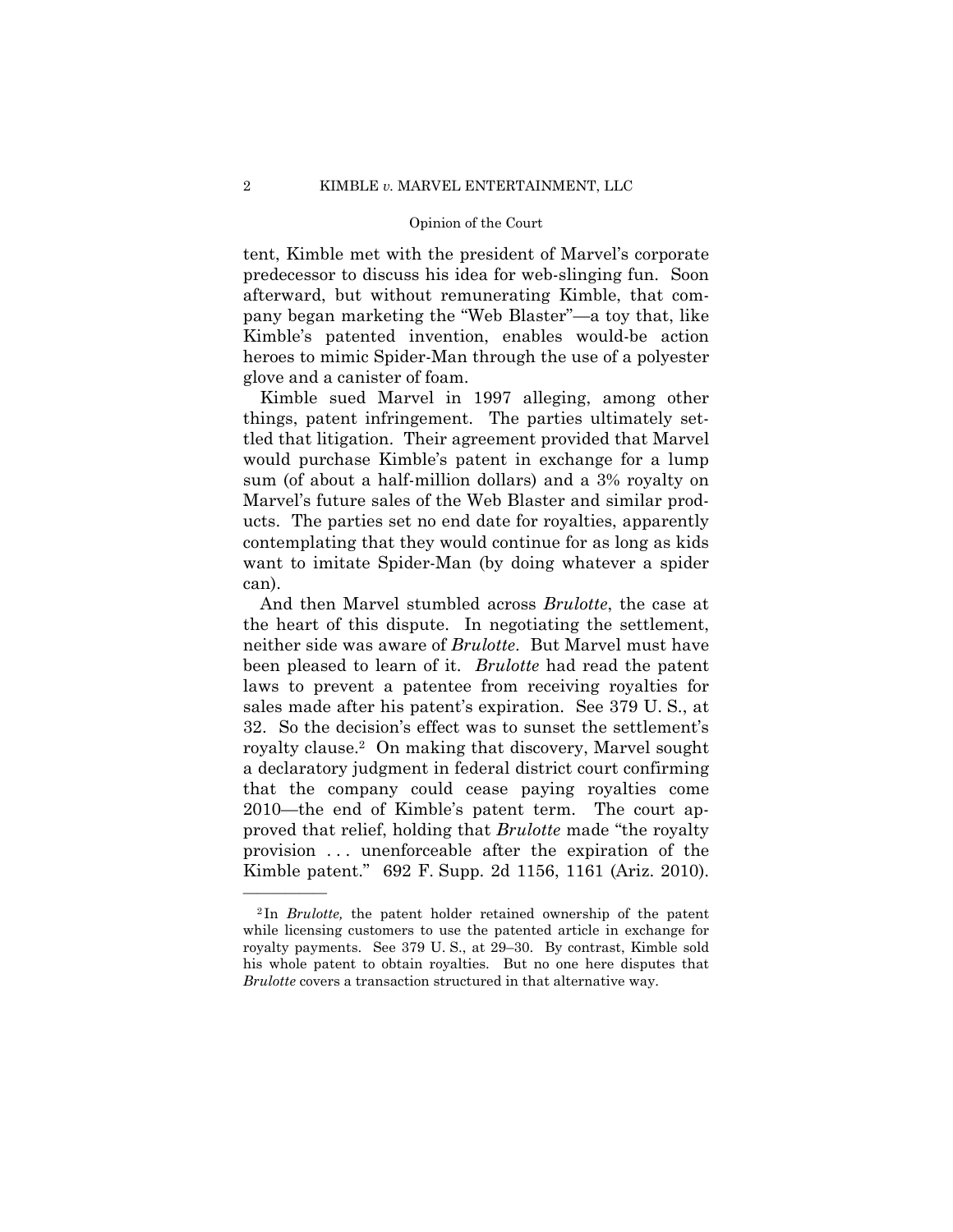tent, Kimble met with the president of Marvel's corporate predecessor to discuss his idea for web-slinging fun. Soon afterward, but without remunerating Kimble, that company began marketing the "Web Blaster"—a toy that, like Kimble's patented invention, enables would-be action heroes to mimic Spider-Man through the use of a polyester glove and a canister of foam.

Kimble sued Marvel in 1997 alleging, among other things, patent infringement. The parties ultimately settled that litigation. Their agreement provided that Marvel would purchase Kimble's patent in exchange for a lump sum (of about a half-million dollars) and a 3% royalty on Marvel's future sales of the Web Blaster and similar products. The parties set no end date for royalties, apparently contemplating that they would continue for as long as kids want to imitate Spider-Man (by doing whatever a spider can).

 royalty clause.2 On making that discovery, Marvel sought And then Marvel stumbled across *Brulotte*, the case at the heart of this dispute. In negotiating the settlement, neither side was aware of *Brulotte*. But Marvel must have been pleased to learn of it. *Brulotte* had read the patent laws to prevent a patentee from receiving royalties for sales made after his patent's expiration. See 379 U. S., at 32. So the decision's effect was to sunset the settlement's a declaratory judgment in federal district court confirming that the company could cease paying royalties come 2010—the end of Kimble's patent term. The court approved that relief, holding that *Brulotte* made "the royalty provision . . . unenforceable after the expiration of the Kimble patent." 692 F. Supp. 2d 1156, 1161 (Ariz. 2010).

 his whole patent to obtain royalties. But no one here disputes that <sup>2</sup> In *Brulotte,* the patent holder retained ownership of the patent while licensing customers to use the patented article in exchange for royalty payments. See 379 U. S., at 29–30. By contrast, Kimble sold *Brulotte* covers a transaction structured in that alternative way.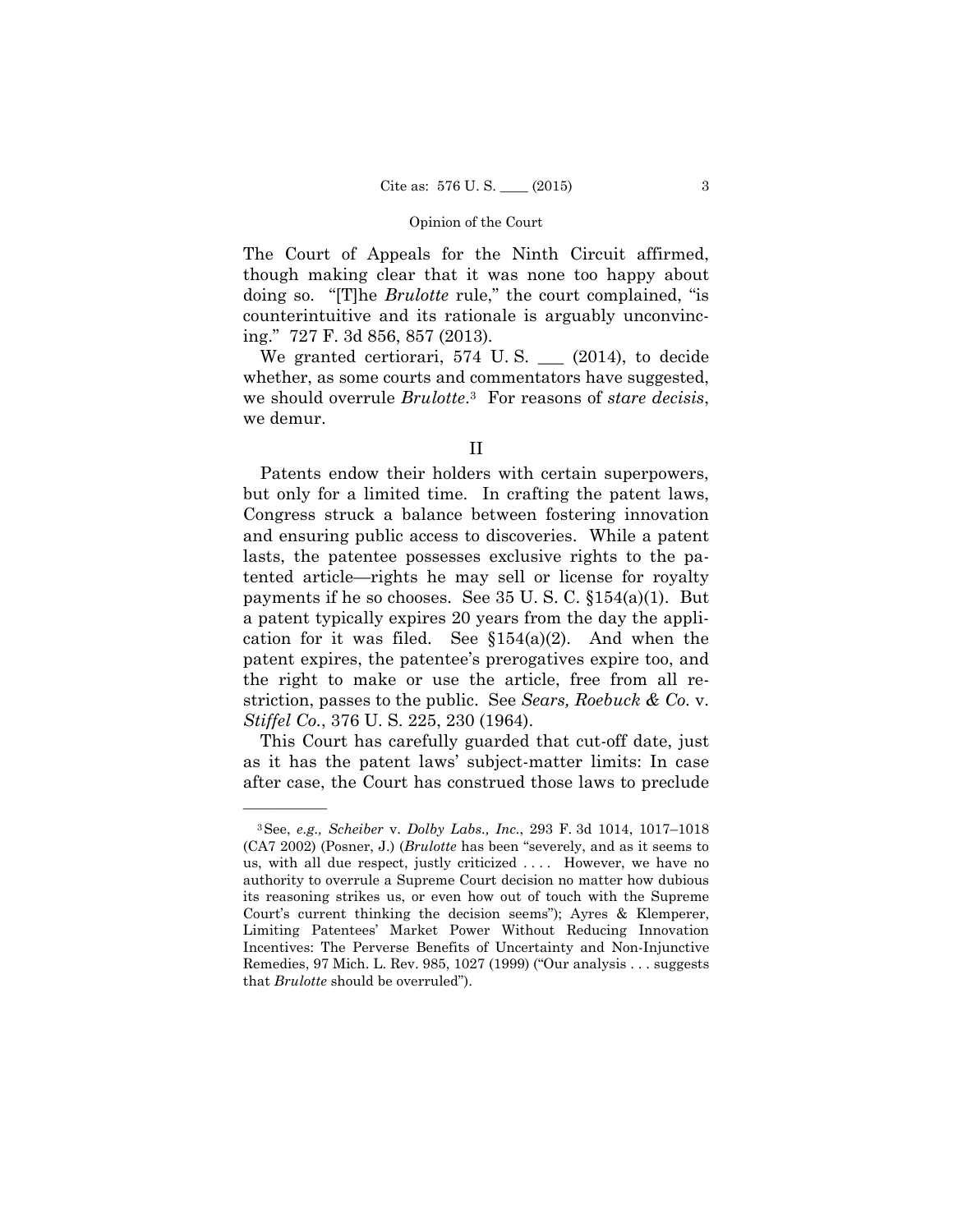The Court of Appeals for the Ninth Circuit affirmed, though making clear that it was none too happy about doing so. "[T]he *Brulotte* rule," the court complained, "is counterintuitive and its rationale is arguably unconvincing." 727 F. 3d 856, 857 (2013)*.* 

We granted certiorari, 574 U.S. \_\_ (2014), to decide whether, as some courts and commentators have suggested, we should overrule *Brulotte*.3 For reasons of *stare decisis*, we demur.

Patents endow their holders with certain superpowers, but only for a limited time. In crafting the patent laws, Congress struck a balance between fostering innovation and ensuring public access to discoveries. While a patent lasts, the patentee possesses exclusive rights to the patented article—rights he may sell or license for royalty payments if he so chooses. See 35 U. S. C. §154(a)(1). But a patent typically expires 20 years from the day the application for it was filed. See  $$154(a)(2)$ . And when the patent expires, the patentee's prerogatives expire too, and the right to make or use the article, free from all restriction, passes to the public. See *Sears, Roebuck & Co.* v. *Stiffel Co.*, 376 U. S. 225, 230 (1964).

This Court has carefully guarded that cut-off date, just as it has the patent laws' subject-matter limits: In case after case, the Court has construed those laws to preclude

——————

II

<sup>3</sup>See, *e.g., Scheiber* v. *Dolby Labs., Inc.*, 293 F. 3d 1014, 1017–1018 (CA7 2002) (Posner, J.) (*Brulotte* has been "severely, and as it seems to us, with all due respect, justly criticized .... However, we have no authority to overrule a Supreme Court decision no matter how dubious its reasoning strikes us, or even how out of touch with the Supreme Court's current thinking the decision seems"); Ayres & Klemperer, Limiting Patentees' Market Power Without Reducing Innovation Incentives: The Perverse Benefits of Uncertainty and Non-Injunctive Remedies, 97 Mich. L. Rev. 985, 1027 (1999) ("Our analysis . . . suggests that *Brulotte* should be overruled").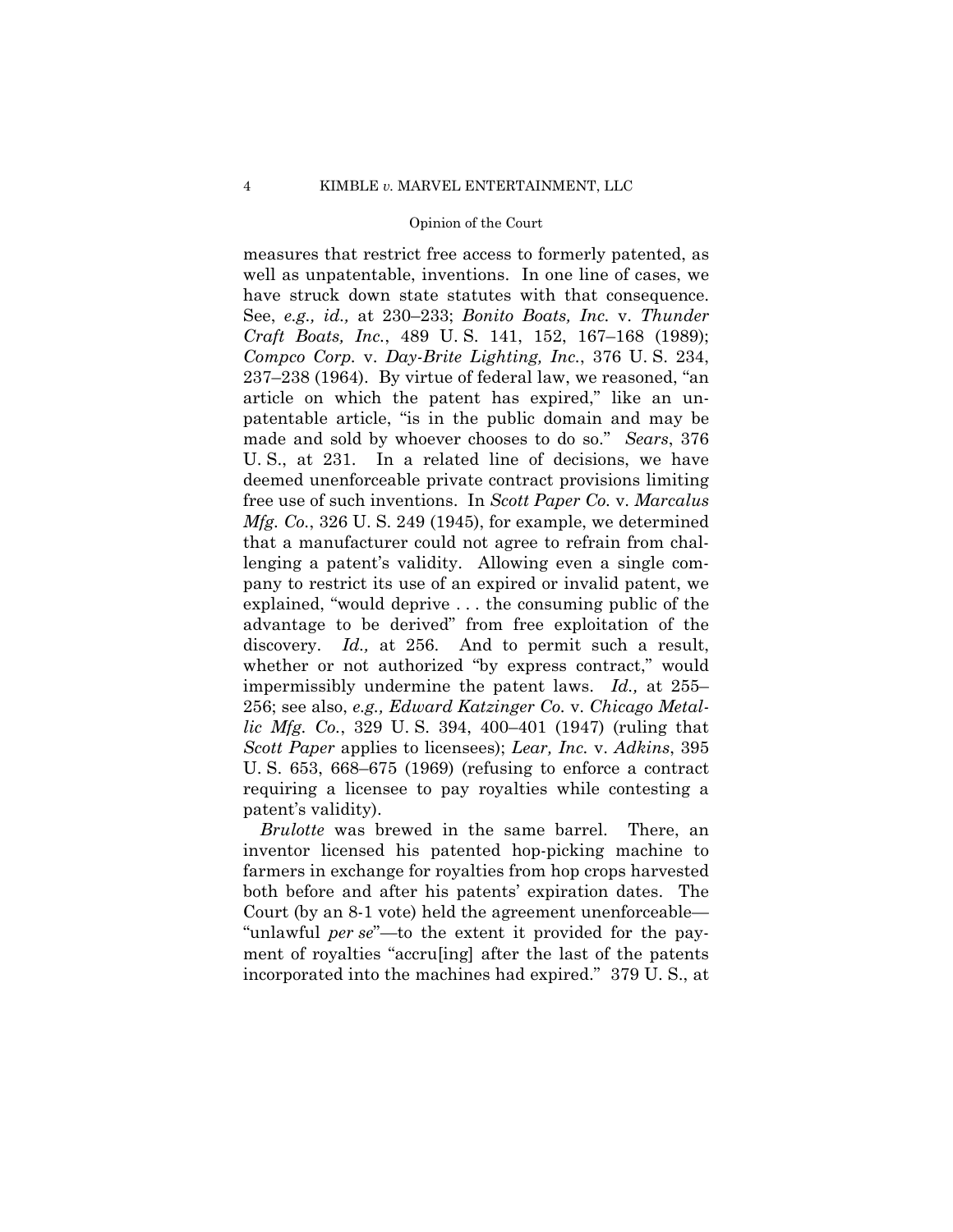made and sold by whoever chooses to do so." *Sears*, 376 measures that restrict free access to formerly patented, as well as unpatentable, inventions. In one line of cases, we have struck down state statutes with that consequence. See, *e.g., id.,* at 230–233; *Bonito Boats, Inc.* v. *Thunder Craft Boats, Inc.*, 489 U. S. 141, 152, 167–168 (1989); *Compco Corp.* v. *Day-Brite Lighting, Inc.*, 376 U. S. 234, 237–238 (1964). By virtue of federal law, we reasoned, "an article on which the patent has expired," like an unpatentable article, "is in the public domain and may be U. S., at 231. In a related line of decisions, we have deemed unenforceable private contract provisions limiting free use of such inventions. In *Scott Paper Co.* v. *Marcalus Mfg. Co.*, 326 U. S. 249 (1945), for example, we determined that a manufacturer could not agree to refrain from challenging a patent's validity. Allowing even a single company to restrict its use of an expired or invalid patent, we explained, "would deprive . . . the consuming public of the advantage to be derived" from free exploitation of the discovery. *Id.,* at 256. And to permit such a result, whether or not authorized "by express contract," would impermissibly undermine the patent laws. *Id.,* at 255– 256; see also, *e.g., Edward Katzinger Co.* v. *Chicago Metallic Mfg. Co.*, 329 U. S. 394, 400–401 (1947) (ruling that *Scott Paper* applies to licensees); *Lear, Inc.* v. *Adkins*, 395 U. S. 653, 668–675 (1969) (refusing to enforce a contract requiring a licensee to pay royalties while contesting a patent's validity).

*Brulotte* was brewed in the same barrel. There, an inventor licensed his patented hop-picking machine to farmers in exchange for royalties from hop crops harvested both before and after his patents' expiration dates. The Court (by an 8-1 vote) held the agreement unenforceable— "unlawful *per se*"—to the extent it provided for the payment of royalties "accru[ing] after the last of the patents incorporated into the machines had expired." 379 U. S., at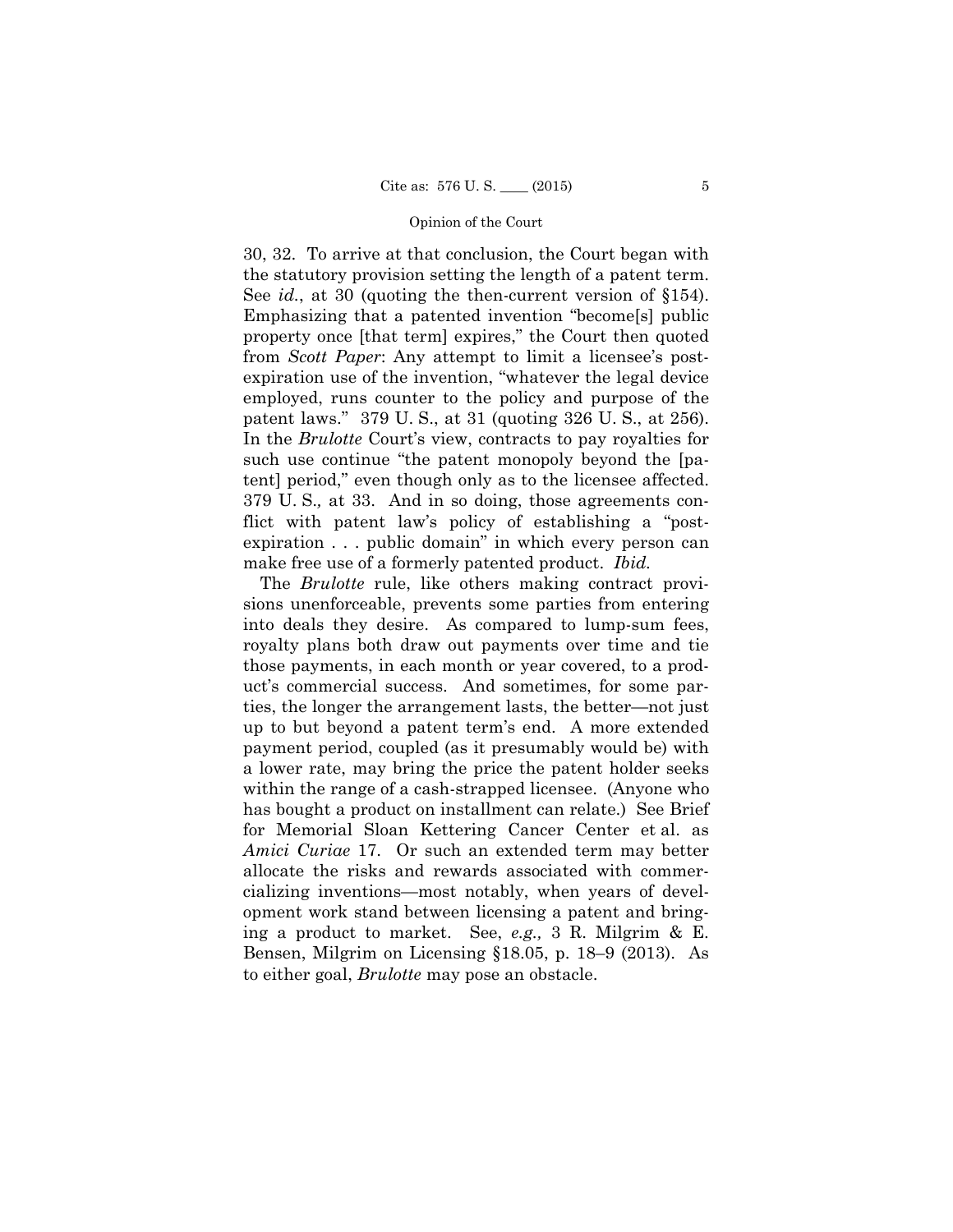30, 32. To arrive at that conclusion, the Court began with the statutory provision setting the length of a patent term. See *id.*, at 30 (quoting the then-current version of §154). Emphasizing that a patented invention "become[s] public property once [that term] expires," the Court then quoted from *Scott Paper*: Any attempt to limit a licensee's postexpiration use of the invention, "whatever the legal device employed, runs counter to the policy and purpose of the patent laws." 379 U. S., at 31 (quoting 326 U. S., at 256). In the *Brulotte* Court's view, contracts to pay royalties for such use continue "the patent monopoly beyond the [patent] period," even though only as to the licensee affected. 379 U. S.*,* at 33. And in so doing, those agreements conflict with patent law's policy of establishing a "postexpiration . . . public domain" in which every person can make free use of a formerly patented product. *Ibid.*

 The *Brulotte* rule, like others making contract provisions unenforceable, prevents some parties from entering into deals they desire. As compared to lump-sum fees, royalty plans both draw out payments over time and tie those payments, in each month or year covered, to a product's commercial success. And sometimes, for some parties, the longer the arrangement lasts, the better—not just up to but beyond a patent term's end. A more extended payment period, coupled (as it presumably would be) with a lower rate, may bring the price the patent holder seeks within the range of a cash-strapped licensee. (Anyone who has bought a product on installment can relate.) See Brief for Memorial Sloan Kettering Cancer Center et al. as *Amici Curiae* 17. Or such an extended term may better allocate the risks and rewards associated with commercializing inventions—most notably, when years of development work stand between licensing a patent and bringing a product to market. See, *e.g.,* 3 R. Milgrim & E. Bensen, Milgrim on Licensing §18.05, p. 18–9 (2013). As to either goal, *Brulotte* may pose an obstacle.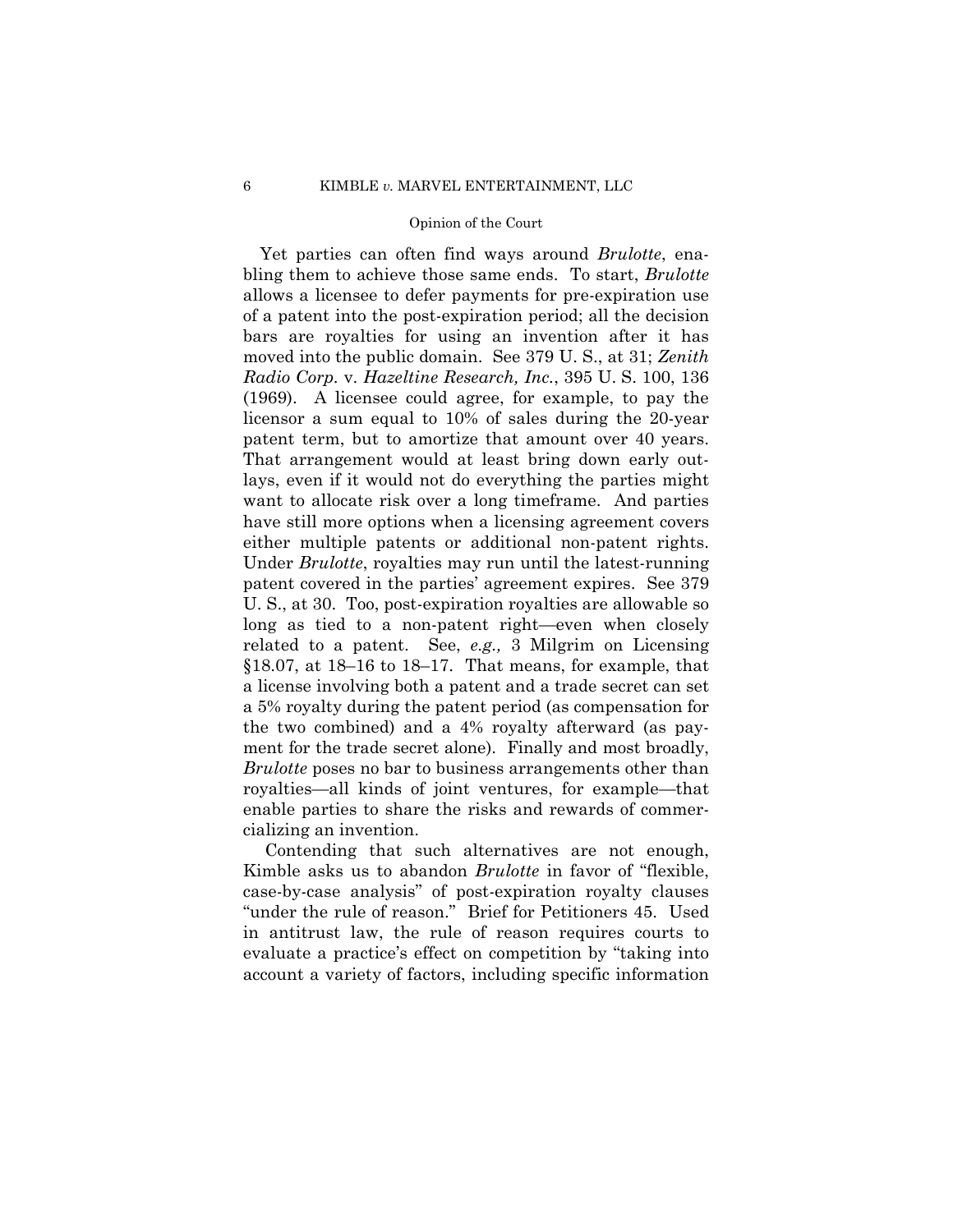patent term, but to amortize that amount over 40 years. Yet parties can often find ways around *Brulotte*, enabling them to achieve those same ends. To start, *Brulotte*  allows a licensee to defer payments for pre-expiration use of a patent into the post-expiration period; all the decision bars are royalties for using an invention after it has moved into the public domain. See 379 U. S., at 31; *Zenith Radio Corp.* v. *Hazeltine Research, Inc.*, 395 U. S. 100, 136 (1969). A licensee could agree, for example, to pay the licensor a sum equal to 10% of sales during the 20-year That arrangement would at least bring down early outlays, even if it would not do everything the parties might want to allocate risk over a long timeframe. And parties have still more options when a licensing agreement covers either multiple patents or additional non-patent rights. Under *Brulotte*, royalties may run until the latest-running patent covered in the parties' agreement expires. See 379 U. S., at 30. Too, post-expiration royalties are allowable so long as tied to a non-patent right—even when closely related to a patent. See, *e.g.,* 3 Milgrim on Licensing §18.07, at 18–16 to 18–17. That means, for example, that a license involving both a patent and a trade secret can set a 5% royalty during the patent period (as compensation for the two combined) and a 4% royalty afterward (as payment for the trade secret alone). Finally and most broadly, *Brulotte* poses no bar to business arrangements other than royalties—all kinds of joint ventures, for example—that enable parties to share the risks and rewards of commercializing an invention.

Contending that such alternatives are not enough, Kimble asks us to abandon *Brulotte* in favor of "flexible, case-by-case analysis" of post-expiration royalty clauses "under the rule of reason." Brief for Petitioners 45. Used in antitrust law, the rule of reason requires courts to evaluate a practice's effect on competition by "taking into account a variety of factors, including specific information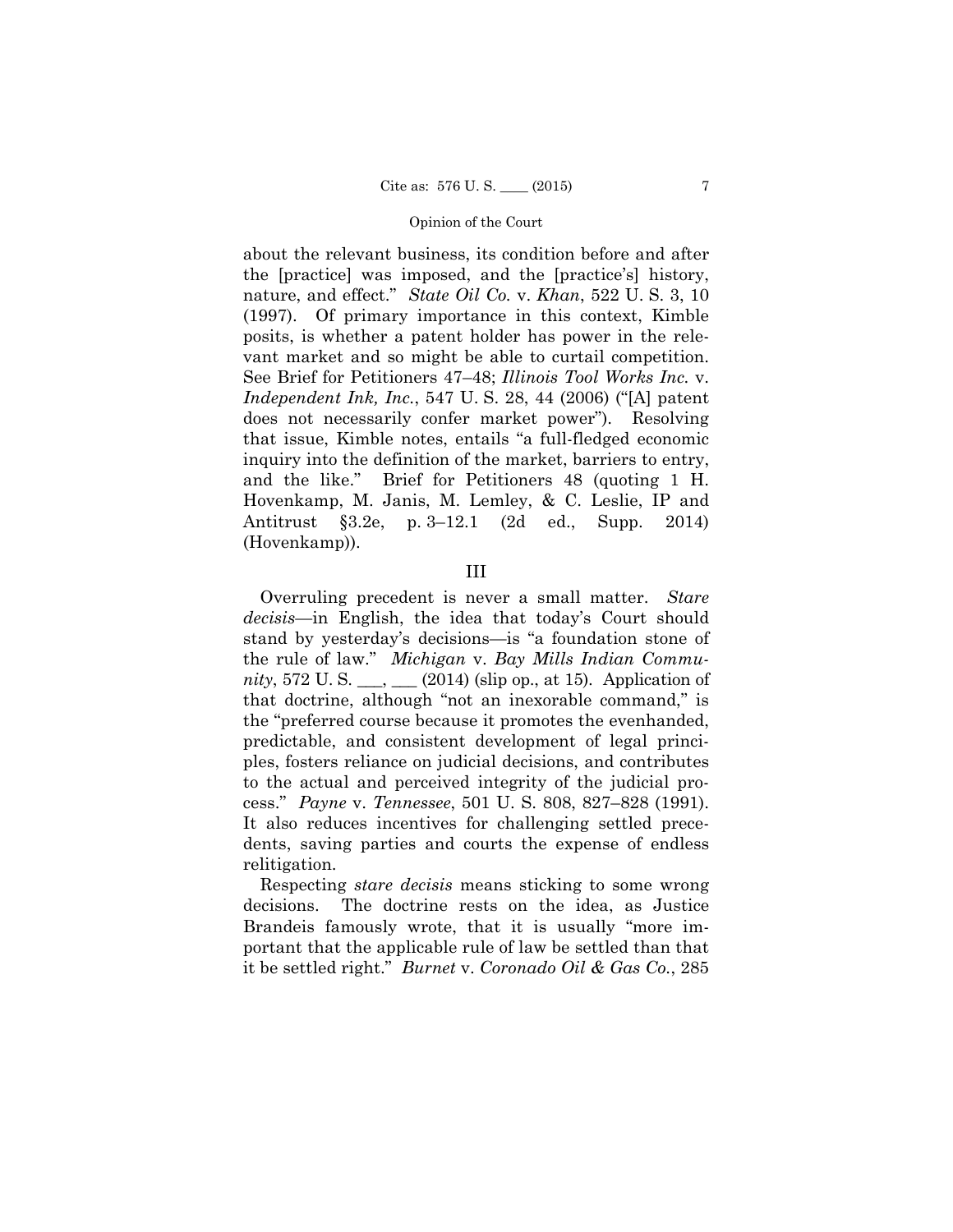about the relevant business, its condition before and after the [practice] was imposed, and the [practice's] history, nature, and effect." *State Oil Co.* v. *Khan*, 522 U. S. 3, 10 (1997). Of primary importance in this context, Kimble posits, is whether a patent holder has power in the relevant market and so might be able to curtail competition. See Brief for Petitioners 47–48; *Illinois Tool Works Inc.* v. *Independent Ink, Inc.*, 547 U. S. 28, 44 (2006) ("[A] patent does not necessarily confer market power"). Resolving that issue, Kimble notes, entails "a full-fledged economic inquiry into the definition of the market, barriers to entry, and the like." Brief for Petitioners 48 (quoting 1 H. Hovenkamp, M. Janis, M. Lemley, & C. Leslie, IP and Antitrust §3.2e, p. 3–12.1 (2d ed., Supp. 2014) (Hovenkamp)).

### III

Overruling precedent is never a small matter. *Stare decisis*—in English, the idea that today's Court should stand by yesterday's decisions—is "a foundation stone of the rule of law." *Michigan* v. *Bay Mills Indian Community*, 572 U. S. \_\_\_, \_\_\_ (2014) (slip op., at 15). Application of that doctrine, although "not an inexorable command," is the "preferred course because it promotes the evenhanded, predictable, and consistent development of legal principles, fosters reliance on judicial decisions, and contributes to the actual and perceived integrity of the judicial process." *Payne* v. *Tennessee*, 501 U. S. 808, 827–828 (1991). It also reduces incentives for challenging settled precedents, saving parties and courts the expense of endless relitigation.

Respecting *stare decisis* means sticking to some wrong decisions. The doctrine rests on the idea, as Justice Brandeis famously wrote, that it is usually "more important that the applicable rule of law be settled than that it be settled right." *Burnet* v. *Coronado Oil & Gas Co.*, 285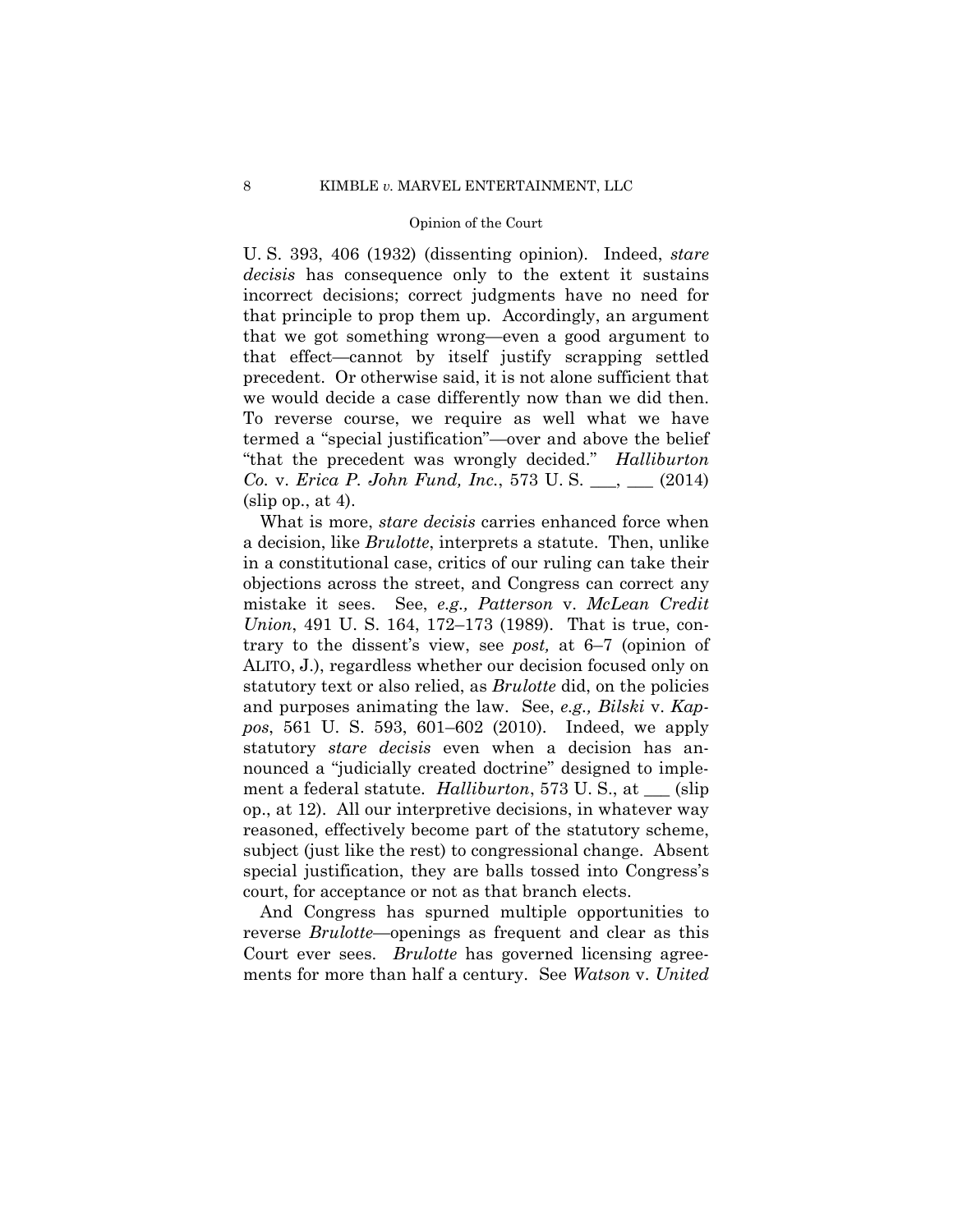U. S. 393, 406 (1932) (dissenting opinion). Indeed, *stare decisis* has consequence only to the extent it sustains incorrect decisions; correct judgments have no need for that principle to prop them up. Accordingly, an argument that we got something wrong—even a good argument to that effect—cannot by itself justify scrapping settled precedent. Or otherwise said, it is not alone sufficient that we would decide a case differently now than we did then. To reverse course, we require as well what we have termed a "special justification"—over and above the belief "that the precedent was wrongly decided." *Halliburton Co.* v. *Erica P. John Fund, Inc.*, 573 U. S. \_\_\_, \_\_\_ (2014)  $(slip$  op., at 4).

What is more, *stare decisis* carries enhanced force when a decision, like *Brulotte*, interprets a statute. Then, unlike in a constitutional case, critics of our ruling can take their objections across the street, and Congress can correct any mistake it sees. See, *e.g., Patterson* v. *McLean Credit Union*, 491 U. S. 164, 172–173 (1989). That is true, contrary to the dissent's view, see *post,* at 6–7 (opinion of ALITO, J.), regardless whether our decision focused only on statutory text or also relied, as *Brulotte* did, on the policies and purposes animating the law. See, *e.g., Bilski* v. *Kappos*, 561 U. S. 593, 601–602 (2010). Indeed, we apply statutory *stare decisis* even when a decision has announced a "judicially created doctrine" designed to implement a federal statute. *Halliburton*, 573 U. S., at \_\_\_ (slip op., at 12). All our interpretive decisions, in whatever way reasoned, effectively become part of the statutory scheme, subject (just like the rest) to congressional change. Absent special justification, they are balls tossed into Congress's court, for acceptance or not as that branch elects.

And Congress has spurned multiple opportunities to reverse *Brulotte*—openings as frequent and clear as this Court ever sees. *Brulotte* has governed licensing agreements for more than half a century. See *Watson* v. *United*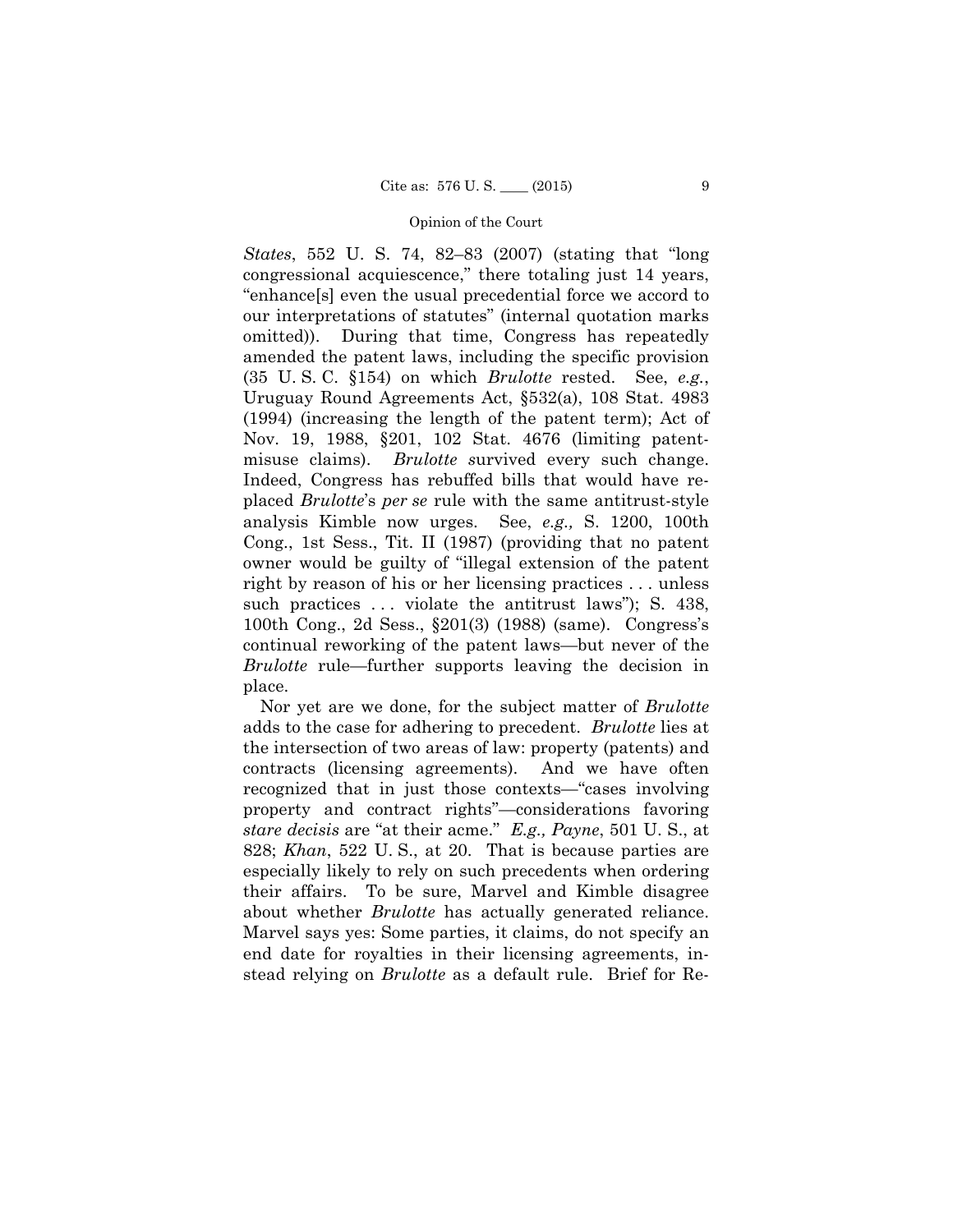*States*, 552 U. S. 74, 82–83 (2007) (stating that "long congressional acquiescence," there totaling just 14 years, "enhance[s] even the usual precedential force we accord to our interpretations of statutes" (internal quotation marks omitted)). During that time, Congress has repeatedly amended the patent laws, including the specific provision (35 U. S. C. §154) on which *Brulotte* rested. See, *e.g.*, Uruguay Round Agreements Act, §532(a), 108 Stat. 4983 (1994) (increasing the length of the patent term); Act of Nov. 19, 1988, §201, 102 Stat. 4676 (limiting patentmisuse claims). *Brulotte s*urvived every such change. Indeed, Congress has rebuffed bills that would have replaced *Brulotte*'s *per se* rule with the same antitrust-style analysis Kimble now urges. See, *e.g.,* S. 1200, 100th Cong., 1st Sess., Tit. II (1987) (providing that no patent owner would be guilty of "illegal extension of the patent right by reason of his or her licensing practices . . . unless such practices ... violate the antitrust laws"); S. 438, 100th Cong., 2d Sess., §201(3) (1988) (same). Congress's continual reworking of the patent laws—but never of the *Brulotte* rule—further supports leaving the decision in place.

Nor yet are we done, for the subject matter of *Brulotte*  adds to the case for adhering to precedent. *Brulotte* lies at the intersection of two areas of law: property (patents) and contracts (licensing agreements). And we have often recognized that in just those contexts—"cases involving property and contract rights"—considerations favoring *stare decisis* are "at their acme." *E.g., Payne*, 501 U. S., at 828; *Khan*, 522 U. S., at 20. That is because parties are especially likely to rely on such precedents when ordering their affairs. To be sure, Marvel and Kimble disagree about whether *Brulotte* has actually generated reliance. Marvel says yes: Some parties, it claims, do not specify an end date for royalties in their licensing agreements, instead relying on *Brulotte* as a default rule. Brief for Re-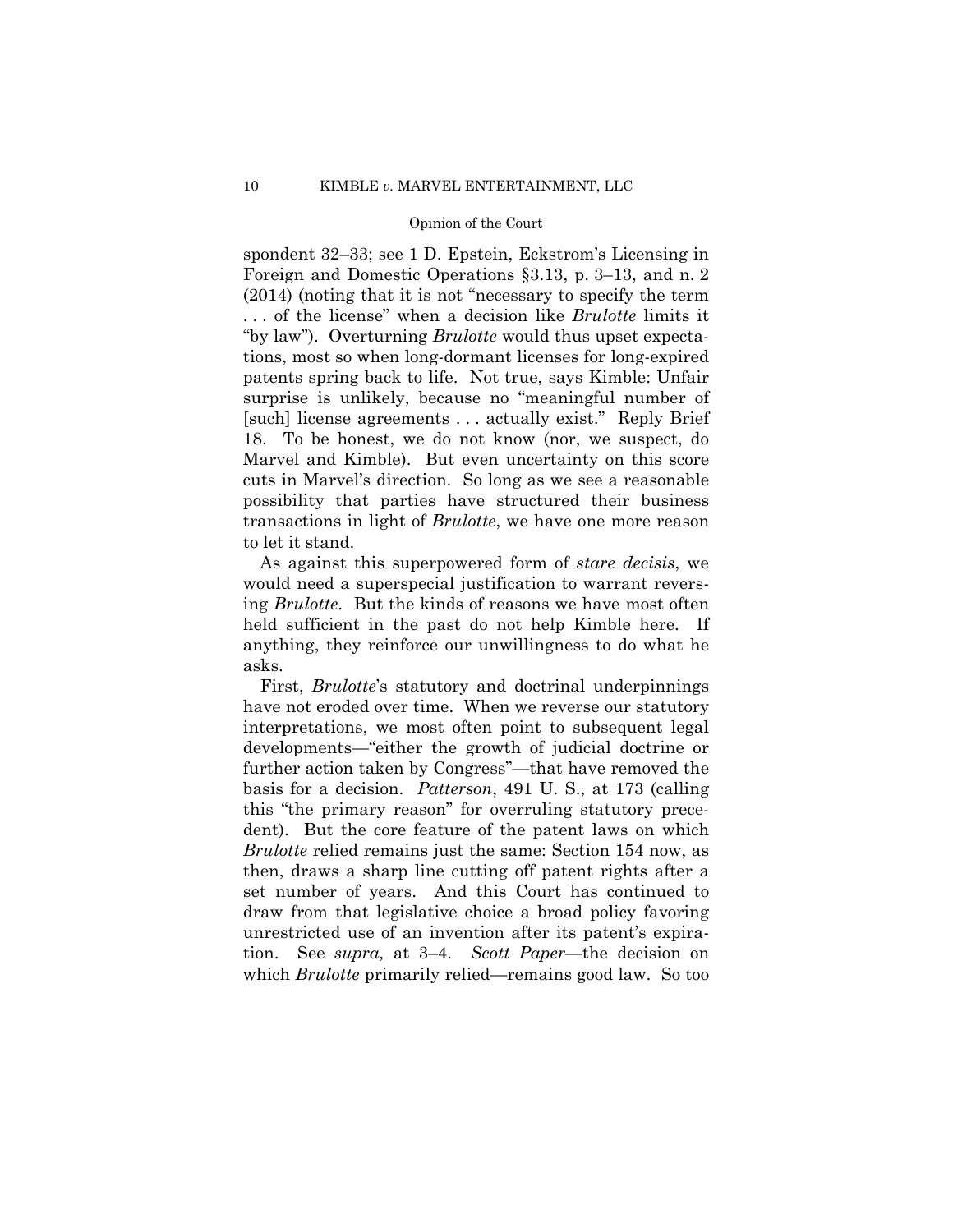spondent 32–33; see 1 D. Epstein, Eckstrom's Licensing in Foreign and Domestic Operations §3.13, p. 3–13, and n. 2 (2014) (noting that it is not "necessary to specify the term . . . of the license" when a decision like *Brulotte* limits it "by law"). Overturning *Brulotte* would thus upset expectations, most so when long-dormant licenses for long-expired patents spring back to life. Not true, says Kimble: Unfair surprise is unlikely, because no "meaningful number of [such] license agreements . . . actually exist." Reply Brief 18. To be honest, we do not know (nor, we suspect, do Marvel and Kimble). But even uncertainty on this score cuts in Marvel's direction. So long as we see a reasonable possibility that parties have structured their business transactions in light of *Brulotte*, we have one more reason to let it stand.

As against this superpowered form of *stare decisis*, we would need a superspecial justification to warrant reversing *Brulotte*. But the kinds of reasons we have most often held sufficient in the past do not help Kimble here. If anything, they reinforce our unwillingness to do what he asks.

First, *Brulotte*'s statutory and doctrinal underpinnings have not eroded over time. When we reverse our statutory interpretations, we most often point to subsequent legal developments—"either the growth of judicial doctrine or further action taken by Congress"—that have removed the basis for a decision. *Patterson*, 491 U. S., at 173 (calling this "the primary reason" for overruling statutory precedent). But the core feature of the patent laws on which *Brulotte* relied remains just the same: Section 154 now, as then, draws a sharp line cutting off patent rights after a set number of years. And this Court has continued to draw from that legislative choice a broad policy favoring unrestricted use of an invention after its patent's expiration. See *supra,* at 3–4. *Scott Paper*—the decision on which *Brulotte* primarily relied—remains good law. So too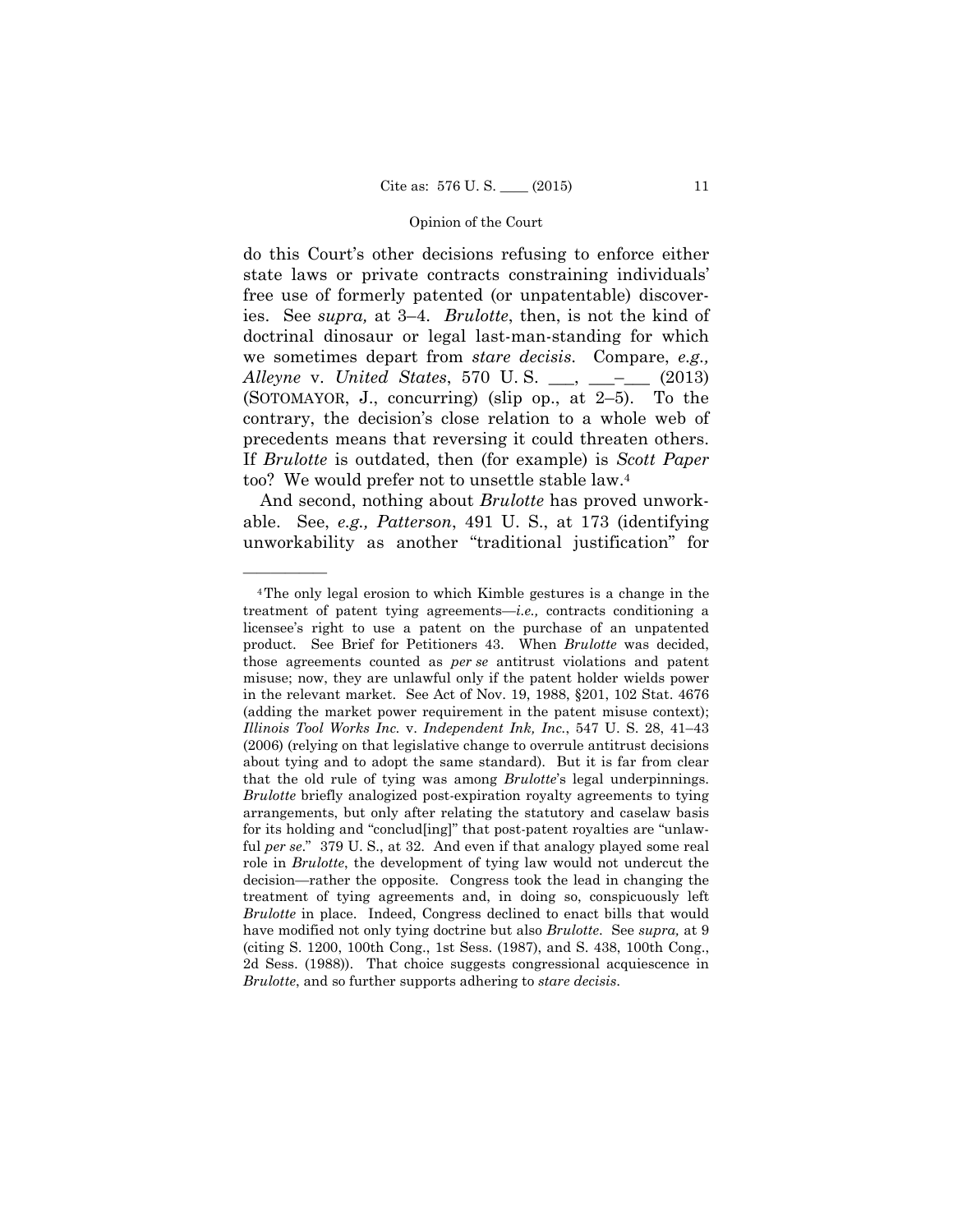ies. See *supra,* at 3–4. *Brulotte*, then, is not the kind of do this Court's other decisions refusing to enforce either state laws or private contracts constraining individuals' free use of formerly patented (or unpatentable) discoverdoctrinal dinosaur or legal last-man-standing for which we sometimes depart from *stare decisis*. Compare, *e.g., Alleyne* v. *United States*, 570 U. S. \_\_\_, \_\_\_–\_\_\_ (2013) (SOTOMAYOR, J., concurring) (slip op., at 2–5). To the contrary, the decision's close relation to a whole web of precedents means that reversing it could threaten others. If *Brulotte* is outdated, then (for example) is *Scott Paper*  too? We would prefer not to unsettle stable law.4

And second, nothing about *Brulotte* has proved unworkable. See, *e.g., Patterson*, 491 U. S., at 173 (identifying unworkability as another "traditional justification" for

——————

<sup>4</sup>The only legal erosion to which Kimble gestures is a change in the treatment of patent tying agreements—*i.e.,* contracts conditioning a licensee's right to use a patent on the purchase of an unpatented product. See Brief for Petitioners 43. When *Brulotte* was decided, those agreements counted as *per se* antitrust violations and patent misuse; now, they are unlawful only if the patent holder wields power in the relevant market. See Act of Nov. 19, 1988, §201, 102 Stat. 4676 (adding the market power requirement in the patent misuse context); *Illinois Tool Works Inc.* v. *Independent Ink, Inc.*, 547 U. S. 28, 41–43 (2006) (relying on that legislative change to overrule antitrust decisions about tying and to adopt the same standard). But it is far from clear that the old rule of tying was among *Brulotte*'s legal underpinnings. *Brulotte* briefly analogized post-expiration royalty agreements to tying arrangements, but only after relating the statutory and caselaw basis for its holding and "conclud[ing]" that post-patent royalties are "unlawful *per se*." 379 U. S., at 32. And even if that analogy played some real role in *Brulotte*, the development of tying law would not undercut the decision—rather the opposite*.* Congress took the lead in changing the treatment of tying agreements and, in doing so, conspicuously left *Brulotte* in place. Indeed, Congress declined to enact bills that would have modified not only tying doctrine but also *Brulotte*. See *supra,* at 9 (citing S. 1200, 100th Cong., 1st Sess. (1987), and S. 438, 100th Cong., 2d Sess. (1988)). That choice suggests congressional acquiescence in *Brulotte*, and so further supports adhering to *stare decisis*.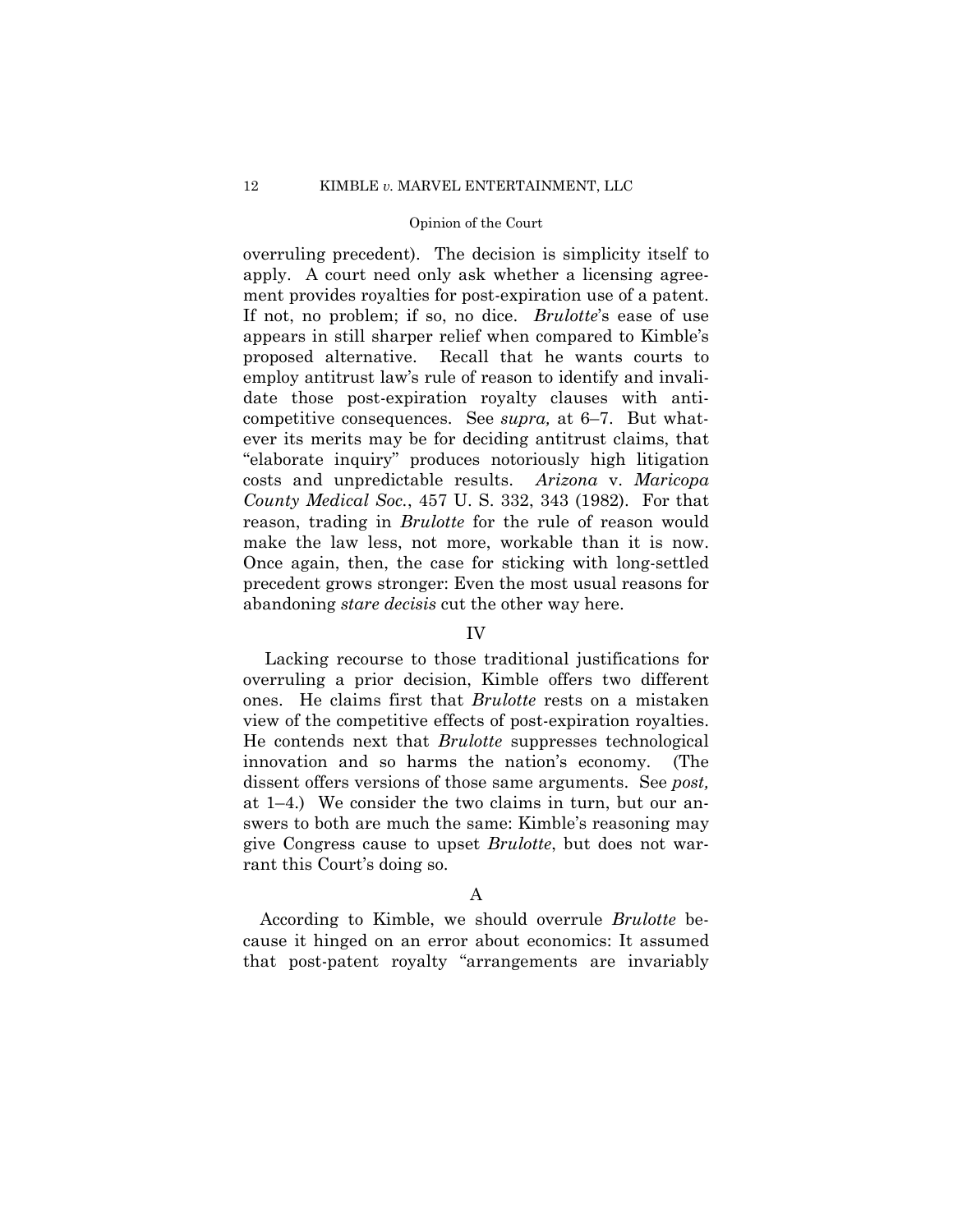overruling precedent). The decision is simplicity itself to apply. A court need only ask whether a licensing agreement provides royalties for post-expiration use of a patent. If not, no problem; if so, no dice. *Brulotte*'s ease of use appears in still sharper relief when compared to Kimble's proposed alternative. Recall that he wants courts to employ antitrust law's rule of reason to identify and invalidate those post-expiration royalty clauses with anticompetitive consequences. See *supra,* at 6–7. But whatever its merits may be for deciding antitrust claims, that "elaborate inquiry" produces notoriously high litigation costs and unpredictable results. *Arizona* v. *Maricopa County Medical Soc.*, 457 U. S. 332, 343 (1982). For that reason, trading in *Brulotte* for the rule of reason would make the law less, not more, workable than it is now. Once again, then, the case for sticking with long-settled precedent grows stronger: Even the most usual reasons for abandoning *stare decisis* cut the other way here.

## IV

Lacking recourse to those traditional justifications for overruling a prior decision, Kimble offers two different ones. He claims first that *Brulotte* rests on a mistaken view of the competitive effects of post-expiration royalties. He contends next that *Brulotte* suppresses technological innovation and so harms the nation's economy. (The dissent offers versions of those same arguments. See *post,* at 1–4.) We consider the two claims in turn, but our answers to both are much the same: Kimble's reasoning may give Congress cause to upset *Brulotte*, but does not warrant this Court's doing so.

## A

According to Kimble, we should overrule *Brulotte* because it hinged on an error about economics: It assumed that post-patent royalty "arrangements are invariably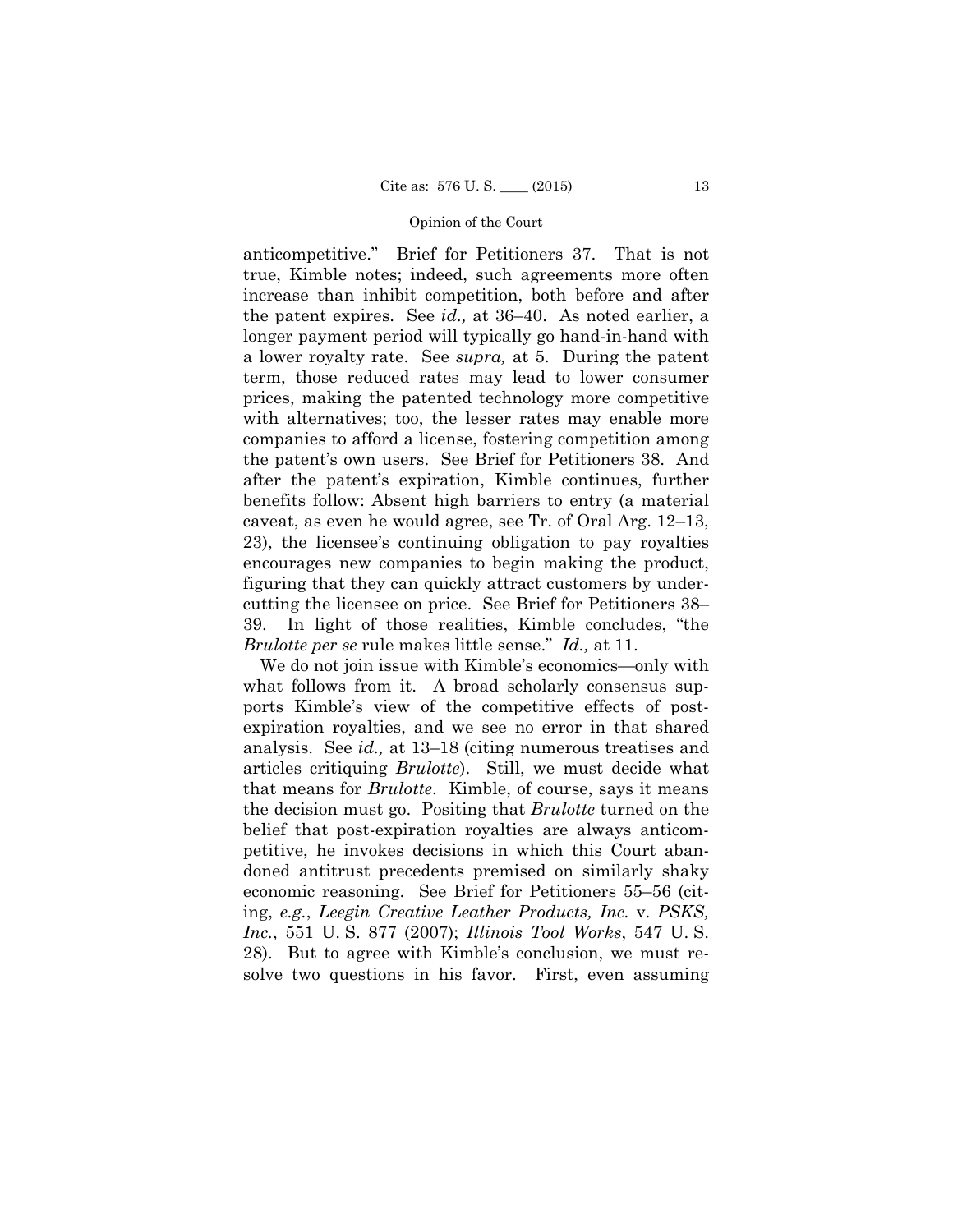anticompetitive." Brief for Petitioners 37. That is not true, Kimble notes; indeed, such agreements more often increase than inhibit competition, both before and after the patent expires. See *id.,* at 36–40. As noted earlier, a longer payment period will typically go hand-in-hand with a lower royalty rate. See *supra,* at 5. During the patent term, those reduced rates may lead to lower consumer prices, making the patented technology more competitive with alternatives; too, the lesser rates may enable more companies to afford a license, fostering competition among the patent's own users. See Brief for Petitioners 38. And after the patent's expiration, Kimble continues, further benefits follow: Absent high barriers to entry (a material caveat, as even he would agree, see Tr. of Oral Arg. 12–13, 23), the licensee's continuing obligation to pay royalties encourages new companies to begin making the product, figuring that they can quickly attract customers by undercutting the licensee on price. See Brief for Petitioners 38– 39. In light of those realities, Kimble concludes, "the *Brulotte per se* rule makes little sense." *Id.,* at 11.

We do not join issue with Kimble's economics—only with what follows from it. A broad scholarly consensus supports Kimble's view of the competitive effects of postexpiration royalties, and we see no error in that shared analysis. See *id.,* at 13–18 (citing numerous treatises and articles critiquing *Brulotte*). Still, we must decide what that means for *Brulotte*. Kimble, of course, says it means the decision must go. Positing that *Brulotte* turned on the belief that post-expiration royalties are always anticompetitive, he invokes decisions in which this Court abandoned antitrust precedents premised on similarly shaky economic reasoning. See Brief for Petitioners 55–56 (citing, *e.g.*, *Leegin Creative Leather Products, Inc.* v. *PSKS, Inc.*, 551 U. S. 877 (2007); *Illinois Tool Works*, 547 U. S. 28). But to agree with Kimble's conclusion, we must resolve two questions in his favor. First, even assuming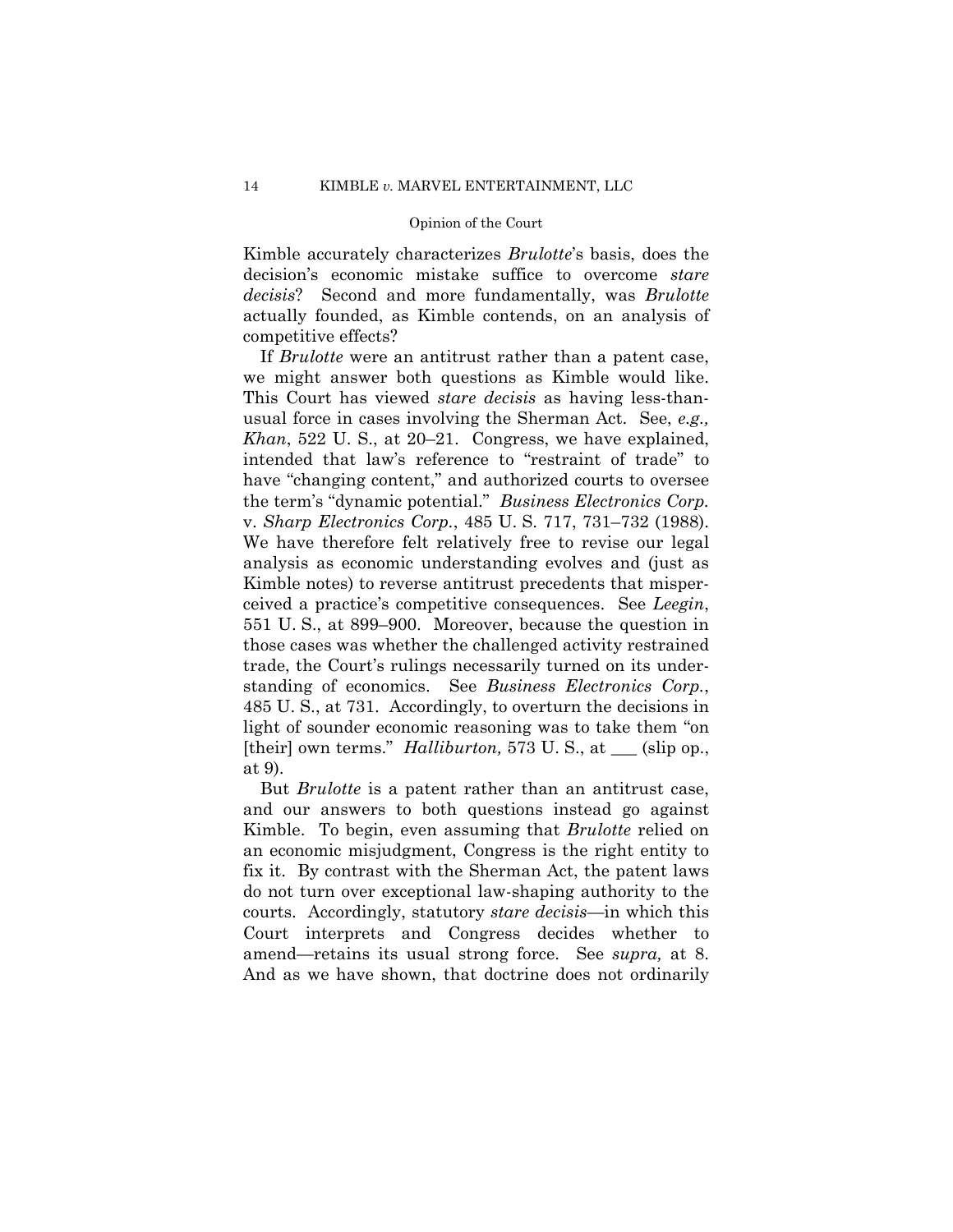Kimble accurately characterizes *Brulotte*'s basis, does the decision's economic mistake suffice to overcome *stare decisis*? Second and more fundamentally, was *Brulotte*  actually founded, as Kimble contends, on an analysis of competitive effects?

If *Brulotte* were an antitrust rather than a patent case, we might answer both questions as Kimble would like. This Court has viewed *stare decisis* as having less-thanusual force in cases involving the Sherman Act. See, *e.g., Khan*, 522 U.S., at 20–21. Congress, we have explained, intended that law's reference to "restraint of trade" to have "changing content," and authorized courts to oversee the term's "dynamic potential." *Business Electronics Corp.*  v. *Sharp Electronics Corp.*, 485 U. S. 717, 731–732 (1988). We have therefore felt relatively free to revise our legal analysis as economic understanding evolves and (just as Kimble notes) to reverse antitrust precedents that misperceived a practice's competitive consequences. See *Leegin*, 551 U. S., at 899–900. Moreover, because the question in those cases was whether the challenged activity restrained trade, the Court's rulings necessarily turned on its understanding of economics. See *Business Electronics Corp.*, 485 U. S., at 731. Accordingly, to overturn the decisions in light of sounder economic reasoning was to take them "on [their] own terms." *Halliburton,* 573 U. S., at \_\_\_ (slip op., at 9).

But *Brulotte* is a patent rather than an antitrust case, and our answers to both questions instead go against Kimble. To begin, even assuming that *Brulotte* relied on an economic misjudgment, Congress is the right entity to fix it. By contrast with the Sherman Act, the patent laws do not turn over exceptional law-shaping authority to the courts. Accordingly, statutory *stare decisis*—in which this Court interprets and Congress decides whether to amend—retains its usual strong force. See *supra,* at 8. And as we have shown, that doctrine does not ordinarily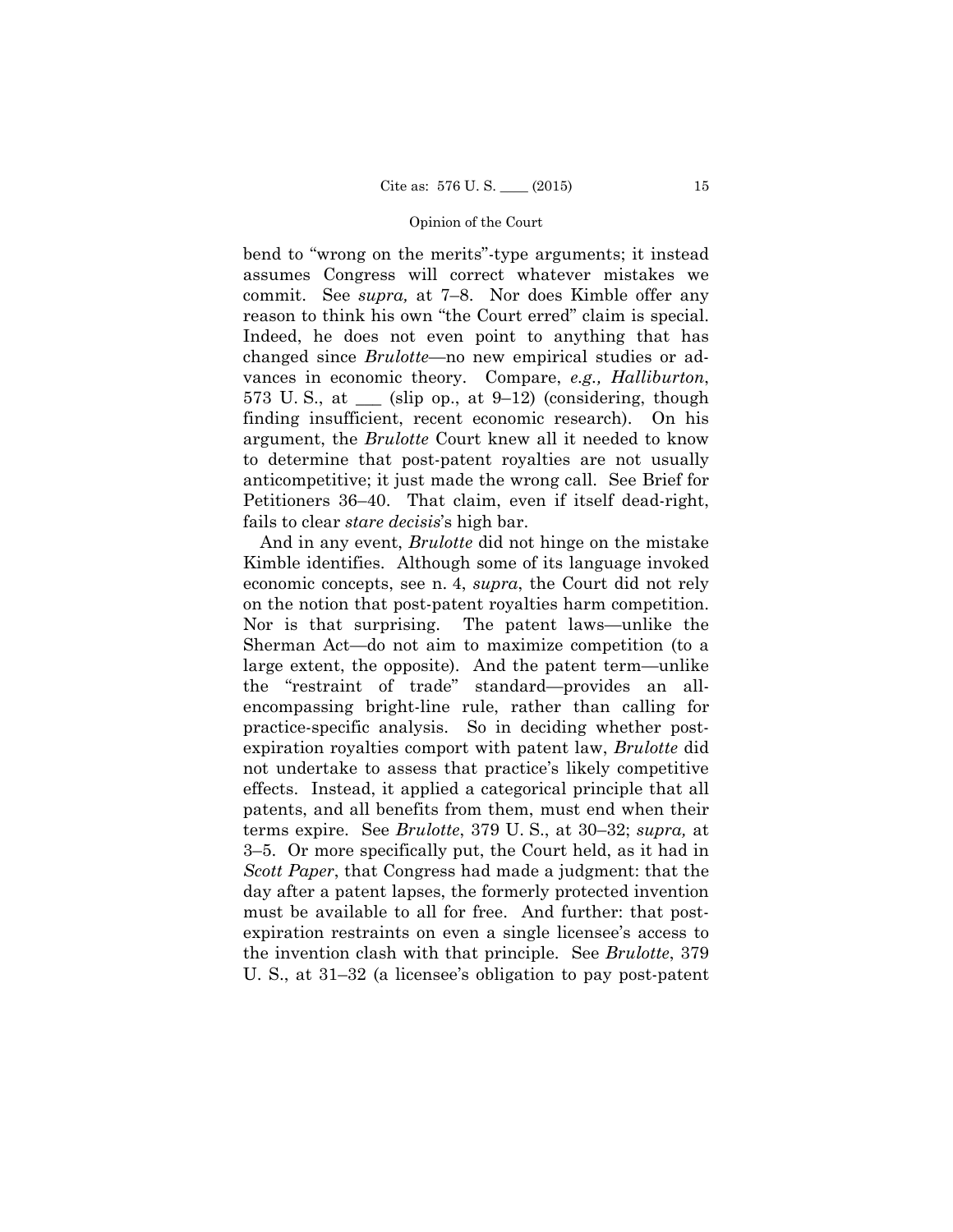bend to "wrong on the merits"-type arguments; it instead assumes Congress will correct whatever mistakes we commit. See *supra,* at 7–8. Nor does Kimble offer any reason to think his own "the Court erred" claim is special. Indeed, he does not even point to anything that has changed since *Brulotte*—no new empirical studies or advances in economic theory. Compare, *e.g., Halliburton*, 573 U.S., at  $\_\_$  (slip op., at 9–12) (considering, though finding insufficient, recent economic research). On his argument, the *Brulotte* Court knew all it needed to know to determine that post-patent royalties are not usually anticompetitive; it just made the wrong call. See Brief for Petitioners 36–40. That claim, even if itself dead-right, fails to clear *stare decisis*'s high bar.

And in any event, *Brulotte* did not hinge on the mistake Kimble identifies. Although some of its language invoked economic concepts, see n. 4, *supra*, the Court did not rely on the notion that post-patent royalties harm competition. Nor is that surprising. The patent laws—unlike the Sherman Act—do not aim to maximize competition (to a large extent, the opposite). And the patent term—unlike the "restraint of trade" standard—provides an allencompassing bright-line rule, rather than calling for practice-specific analysis. So in deciding whether postexpiration royalties comport with patent law, *Brulotte* did not undertake to assess that practice's likely competitive effects. Instead, it applied a categorical principle that all patents, and all benefits from them, must end when their terms expire. See *Brulotte*, 379 U. S., at 30–32; *supra,* at 3–5. Or more specifically put, the Court held, as it had in *Scott Paper*, that Congress had made a judgment: that the day after a patent lapses, the formerly protected invention must be available to all for free. And further: that postexpiration restraints on even a single licensee's access to the invention clash with that principle. See *Brulotte*, 379 U. S., at 31–32 (a licensee's obligation to pay post-patent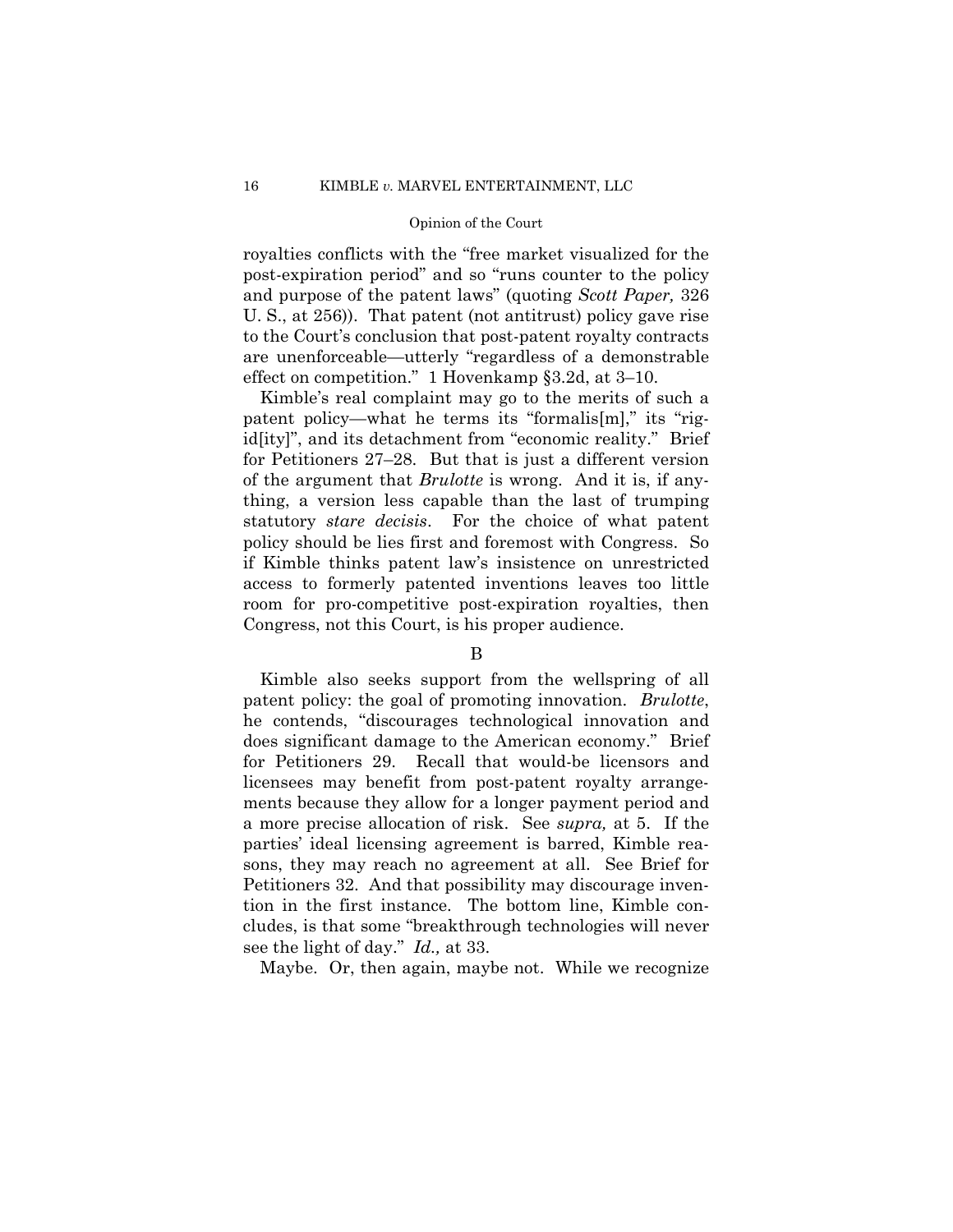royalties conflicts with the "free market visualized for the post-expiration period" and so "runs counter to the policy and purpose of the patent laws" (quoting *Scott Paper,* 326 U. S., at 256)). That patent (not antitrust) policy gave rise to the Court's conclusion that post-patent royalty contracts are unenforceable—utterly "regardless of a demonstrable effect on competition." 1 Hovenkamp §3.2d, at 3–10.

Kimble's real complaint may go to the merits of such a patent policy—what he terms its "formalis[m]," its "rigid[ity]", and its detachment from "economic reality." Brief for Petitioners 27–28. But that is just a different version of the argument that *Brulotte* is wrong. And it is, if anything, a version less capable than the last of trumping statutory *stare decisis*. For the choice of what patent policy should be lies first and foremost with Congress. So if Kimble thinks patent law's insistence on unrestricted access to formerly patented inventions leaves too little room for pro-competitive post-expiration royalties, then Congress, not this Court, is his proper audience.

## B

Kimble also seeks support from the wellspring of all patent policy: the goal of promoting innovation. *Brulotte*, he contends, "discourages technological innovation and does significant damage to the American economy." Brief for Petitioners 29. Recall that would-be licensors and licensees may benefit from post-patent royalty arrangements because they allow for a longer payment period and a more precise allocation of risk. See *supra,* at 5. If the parties' ideal licensing agreement is barred, Kimble reasons, they may reach no agreement at all. See Brief for Petitioners 32. And that possibility may discourage invention in the first instance. The bottom line, Kimble concludes, is that some "breakthrough technologies will never see the light of day." *Id.,* at 33.

Maybe. Or, then again, maybe not. While we recognize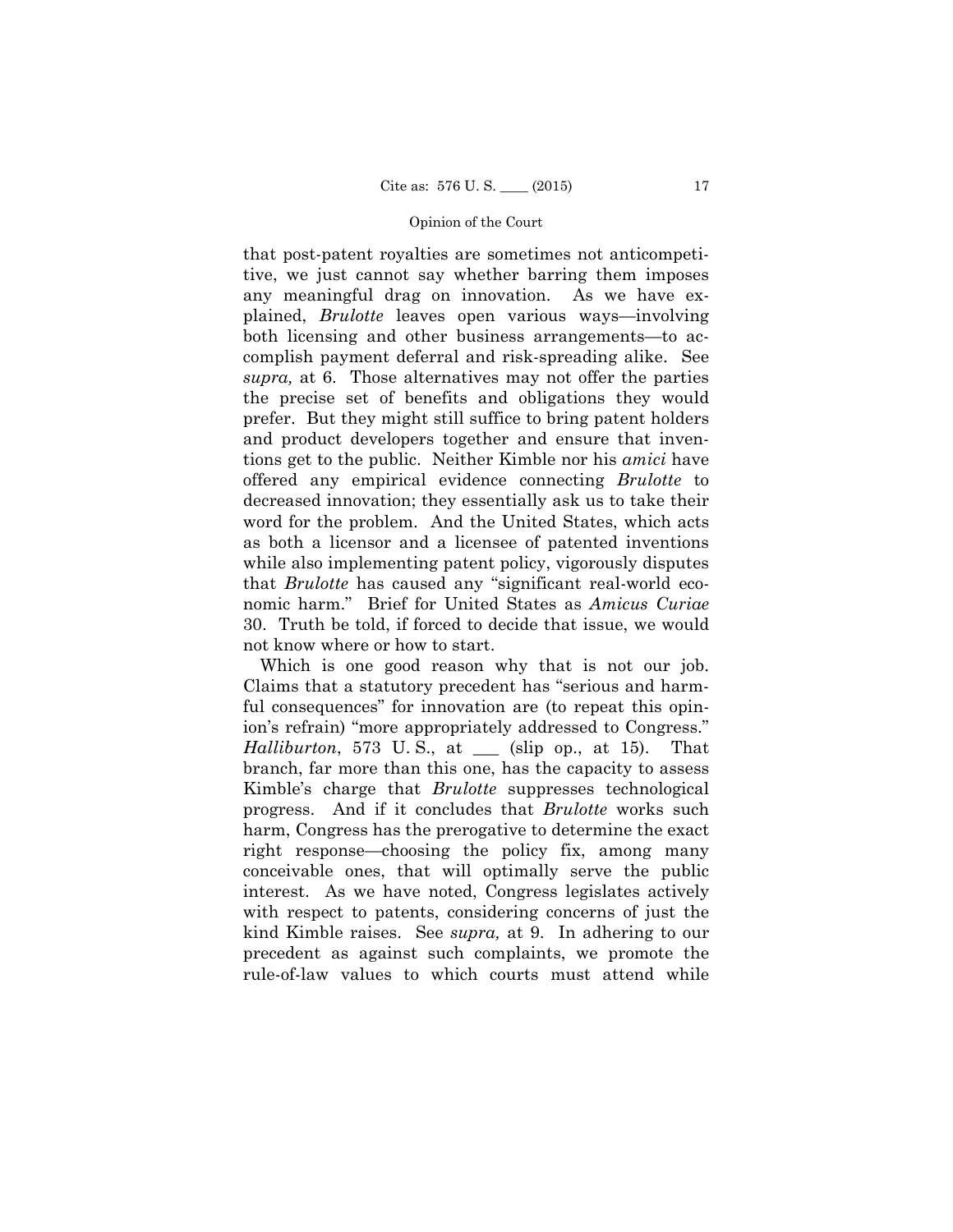that post-patent royalties are sometimes not anticompetitive, we just cannot say whether barring them imposes any meaningful drag on innovation. As we have explained, *Brulotte* leaves open various ways—involving both licensing and other business arrangements—to accomplish payment deferral and risk-spreading alike. See *supra,* at 6. Those alternatives may not offer the parties the precise set of benefits and obligations they would prefer. But they might still suffice to bring patent holders and product developers together and ensure that inventions get to the public. Neither Kimble nor his *amici* have offered any empirical evidence connecting *Brulotte* to decreased innovation; they essentially ask us to take their word for the problem. And the United States, which acts as both a licensor and a licensee of patented inventions while also implementing patent policy, vigorously disputes that *Brulotte* has caused any "significant real-world economic harm." Brief for United States as *Amicus Curiae*  30. Truth be told, if forced to decide that issue, we would not know where or how to start.

Which is one good reason why that is not our job. Claims that a statutory precedent has "serious and harmful consequences" for innovation are (to repeat this opinion's refrain) "more appropriately addressed to Congress." *Halliburton*, 573 U. S., at \_\_\_ (slip op., at 15). That branch, far more than this one, has the capacity to assess Kimble's charge that *Brulotte* suppresses technological progress. And if it concludes that *Brulotte* works such harm, Congress has the prerogative to determine the exact right response—choosing the policy fix, among many conceivable ones, that will optimally serve the public interest. As we have noted, Congress legislates actively with respect to patents, considering concerns of just the kind Kimble raises. See *supra,* at 9. In adhering to our precedent as against such complaints, we promote the rule-of-law values to which courts must attend while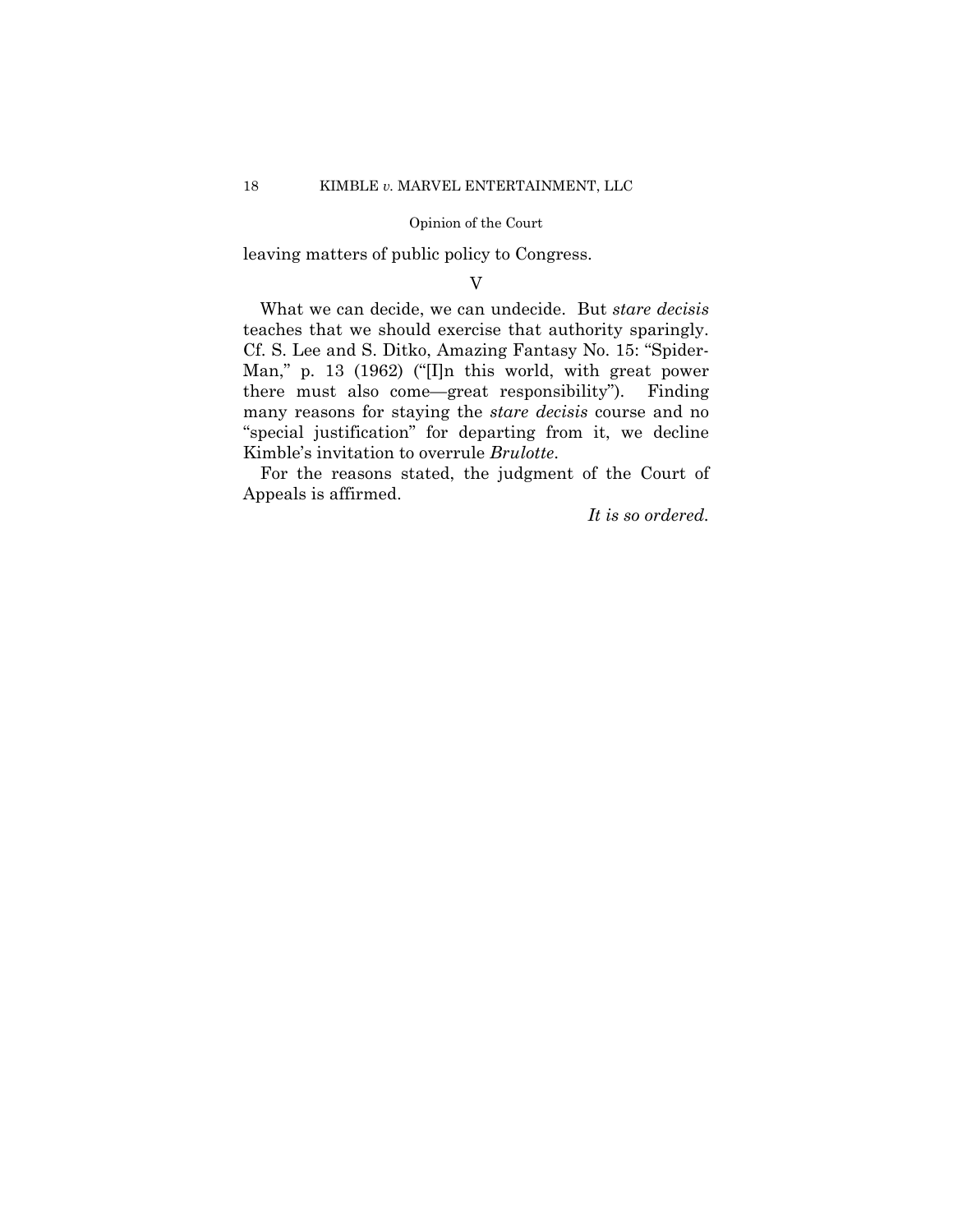leaving matters of public policy to Congress.

V

 teaches that we should exercise that authority sparingly. What we can decide, we can undecide. But *stare decisis*  Cf. S. Lee and S. Ditko, Amazing Fantasy No. 15: "Spider-Man," p. 13 (1962) ("[I]n this world, with great power there must also come—great responsibility"). Finding many reasons for staying the *stare decisis* course and no "special justification" for departing from it, we decline Kimble's invitation to overrule *Brulotte*.

For the reasons stated, the judgment of the Court of Appeals is affirmed.

*It is so ordered.*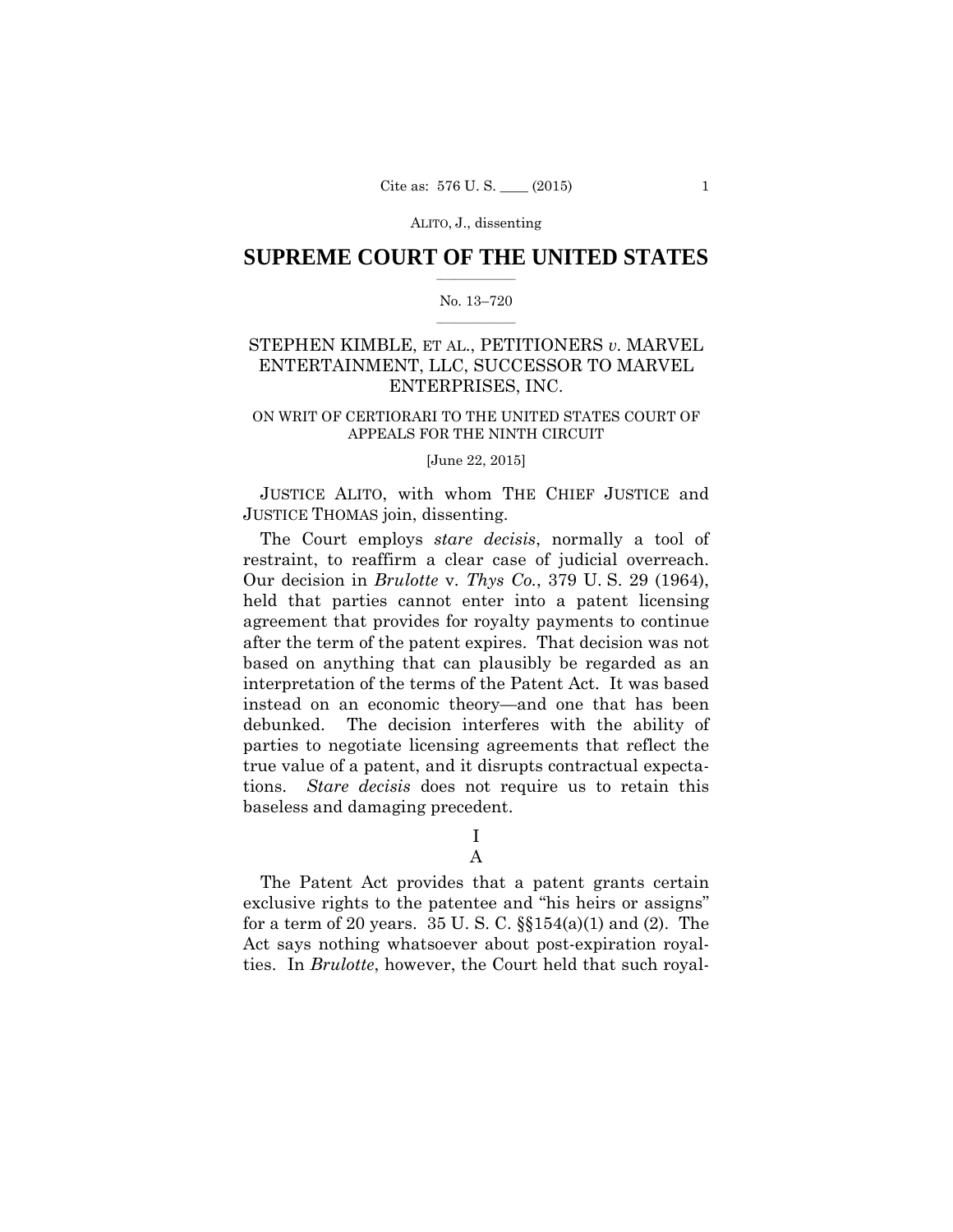## $\frac{1}{2}$  , where  $\frac{1}{2}$ **SUPREME COURT OF THE UNITED STATES**

### $\frac{1}{2}$  ,  $\frac{1}{2}$  ,  $\frac{1}{2}$  ,  $\frac{1}{2}$  ,  $\frac{1}{2}$  ,  $\frac{1}{2}$ No. 13–720

## STEPHEN KIMBLE, ET AL., PETITIONERS *v.* MARVEL ENTERTAINMENT, LLC, SUCCESSOR TO MARVEL ENTERPRISES, INC.

### ON WRIT OF CERTIORARI TO THE UNITED STATES COURT OF APPEALS FOR THE NINTH CIRCUIT

### [June 22, 2015]

JUSTICE ALITO, with whom THE CHIEF JUSTICE and JUSTICE THOMAS join, dissenting.

 restraint, to reaffirm a clear case of judicial overreach. The Court employs *stare decisis*, normally a tool of Our decision in *Brulotte* v. *Thys Co.*, 379 U. S. 29 (1964), held that parties cannot enter into a patent licensing agreement that provides for royalty payments to continue after the term of the patent expires. That decision was not based on anything that can plausibly be regarded as an interpretation of the terms of the Patent Act. It was based instead on an economic theory—and one that has been debunked. The decision interferes with the ability of parties to negotiate licensing agreements that reflect the true value of a patent, and it disrupts contractual expectations. *Stare decisis* does not require us to retain this baseless and damaging precedent.

I

## A

 for a term of 20 years. 35 U. S. C. §§154(a)(1) and (2). The The Patent Act provides that a patent grants certain exclusive rights to the patentee and "his heirs or assigns" Act says nothing whatsoever about post-expiration royalties. In *Brulotte*, however, the Court held that such royal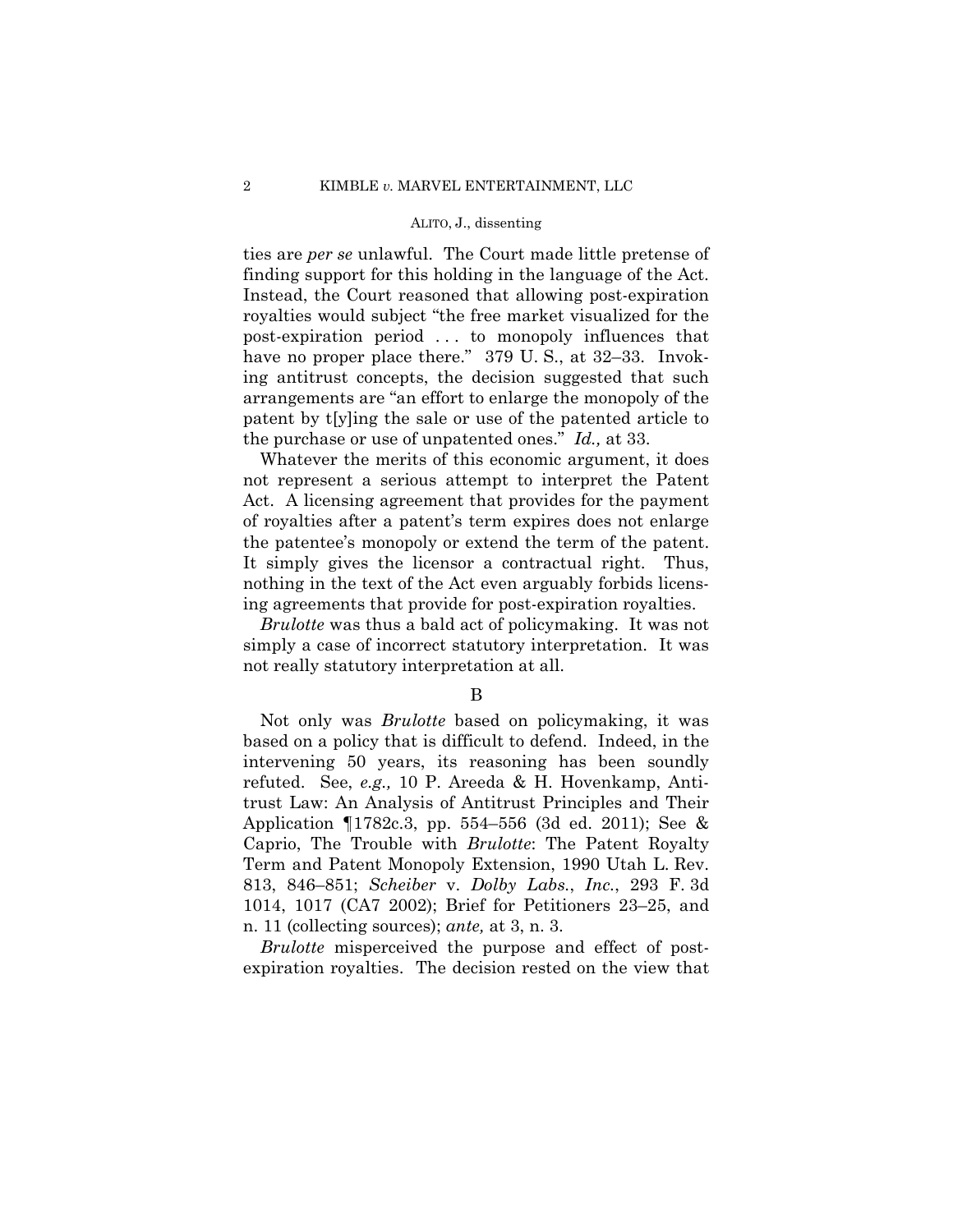ties are *per se* unlawful. The Court made little pretense of finding support for this holding in the language of the Act. Instead, the Court reasoned that allowing post-expiration royalties would subject "the free market visualized for the post-expiration period . . . to monopoly influences that have no proper place there." 379 U.S., at 32–33. Invoking antitrust concepts, the decision suggested that such arrangements are "an effort to enlarge the monopoly of the patent by t[y]ing the sale or use of the patented article to the purchase or use of unpatented ones." *Id.,* at 33.

Whatever the merits of this economic argument, it does not represent a serious attempt to interpret the Patent Act. A licensing agreement that provides for the payment of royalties after a patent's term expires does not enlarge the patentee's monopoly or extend the term of the patent. It simply gives the licensor a contractual right. Thus, nothing in the text of the Act even arguably forbids licensing agreements that provide for post-expiration royalties.

*Brulotte* was thus a bald act of policymaking. It was not simply a case of incorrect statutory interpretation. It was not really statutory interpretation at all.

### B

Not only was *Brulotte* based on policymaking, it was based on a policy that is difficult to defend. Indeed, in the intervening 50 years, its reasoning has been soundly refuted. See, *e.g.,* 10 P. Areeda & H. Hovenkamp, Antitrust Law: An Analysis of Antitrust Principles and Their Application ¶1782c.3, pp. 554–556 (3d ed. 2011); See & Caprio, The Trouble with *Brulotte*: The Patent Royalty Term and Patent Monopoly Extension, 1990 Utah L. Rev. 813, 846–851; *Scheiber* v. *Dolby Labs.*, *Inc.*, 293 F. 3d 1014, 1017 (CA7 2002); Brief for Petitioners 23–25, and n. 11 (collecting sources); *ante,* at 3, n. 3.

*Brulotte* misperceived the purpose and effect of postexpiration royalties. The decision rested on the view that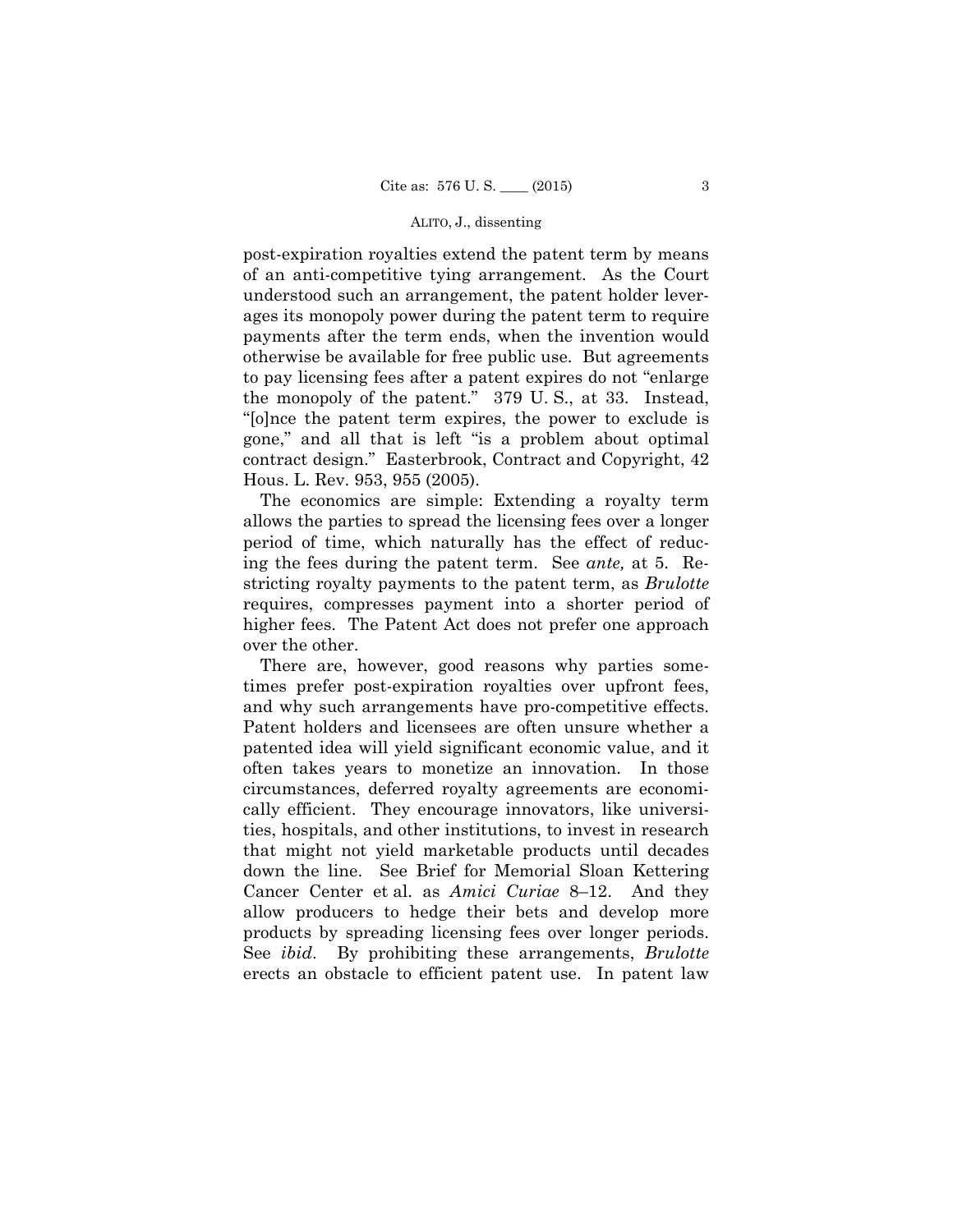post-expiration royalties extend the patent term by means of an anti-competitive tying arrangement. As the Court understood such an arrangement, the patent holder leverages its monopoly power during the patent term to require payments after the term ends, when the invention would otherwise be available for free public use. But agreements to pay licensing fees after a patent expires do not "enlarge the monopoly of the patent." 379 U. S., at 33. Instead, "[o]nce the patent term expires, the power to exclude is gone," and all that is left "is a problem about optimal contract design." Easterbrook, Contract and Copyright, 42 Hous. L. Rev. 953, 955 (2005).

The economics are simple: Extending a royalty term allows the parties to spread the licensing fees over a longer period of time, which naturally has the effect of reducing the fees during the patent term. See *ante,* at 5. Restricting royalty payments to the patent term, as *Brulotte*  requires, compresses payment into a shorter period of higher fees. The Patent Act does not prefer one approach over the other.

There are, however, good reasons why parties sometimes prefer post-expiration royalties over upfront fees, and why such arrangements have pro-competitive effects. Patent holders and licensees are often unsure whether a patented idea will yield significant economic value, and it often takes years to monetize an innovation. In those circumstances, deferred royalty agreements are economically efficient. They encourage innovators, like universities, hospitals, and other institutions, to invest in research that might not yield marketable products until decades down the line. See Brief for Memorial Sloan Kettering Cancer Center et al. as *Amici Curiae* 8–12. And they allow producers to hedge their bets and develop more products by spreading licensing fees over longer periods. See *ibid*. By prohibiting these arrangements, *Brulotte*  erects an obstacle to efficient patent use. In patent law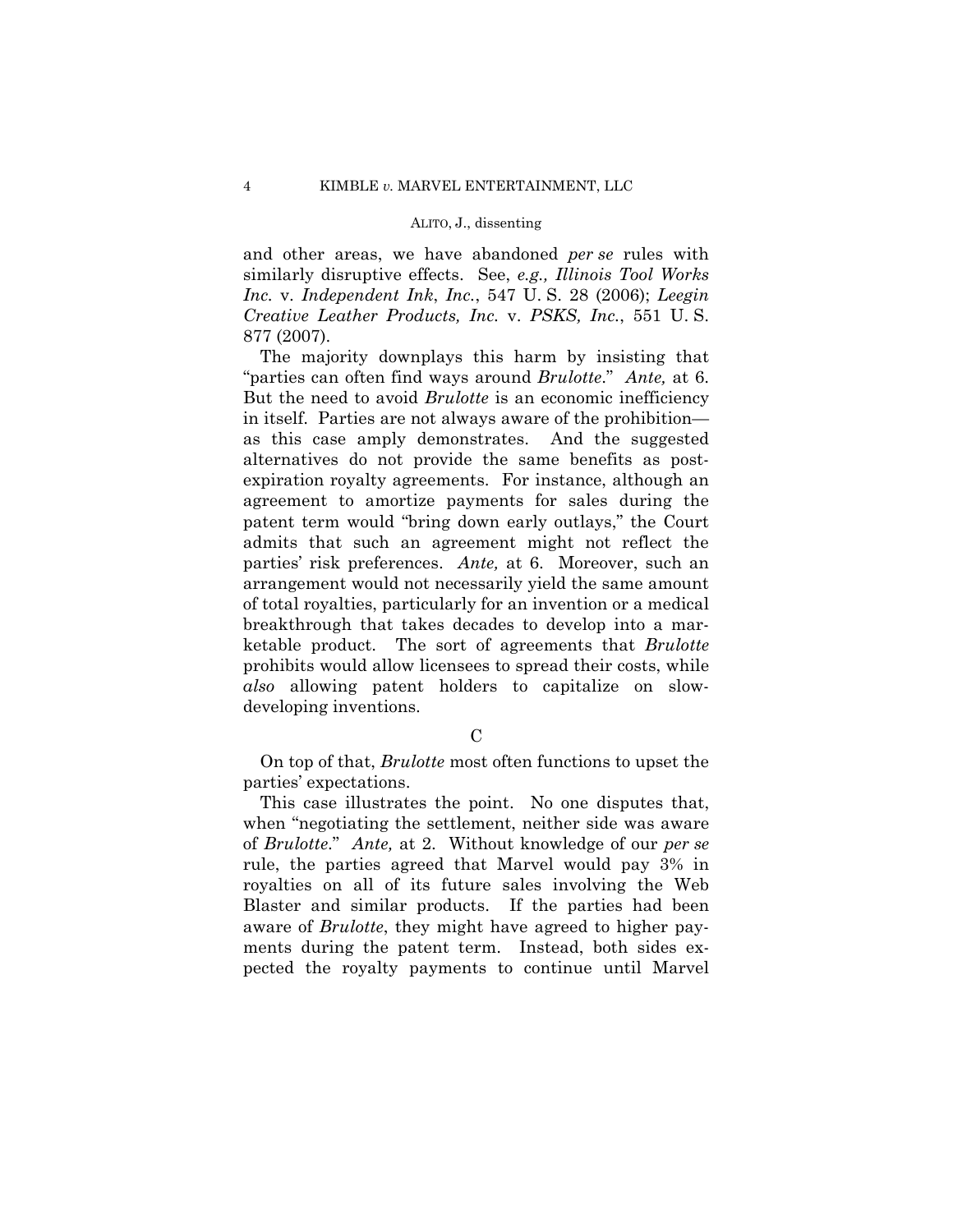and other areas, we have abandoned *per se* rules with similarly disruptive effects. See, *e.g., Illinois Tool Works Inc.* v. *Independent Ink*, *Inc.*, 547 U. S. 28 (2006); *Leegin Creative Leather Products, Inc.* v. *PSKS, Inc.*, 551 U. S. 877 (2007).

 "parties can often find ways around *Brulotte*." *Ante,* at 6. The majority downplays this harm by insisting that But the need to avoid *Brulotte* is an economic inefficiency in itself. Parties are not always aware of the prohibition as this case amply demonstrates. And the suggested alternatives do not provide the same benefits as postexpiration royalty agreements. For instance, although an agreement to amortize payments for sales during the patent term would "bring down early outlays," the Court admits that such an agreement might not reflect the parties' risk preferences. *Ante,* at 6. Moreover, such an arrangement would not necessarily yield the same amount of total royalties, particularly for an invention or a medical breakthrough that takes decades to develop into a marketable product. The sort of agreements that *Brulotte*  prohibits would allow licensees to spread their costs, while *also* allowing patent holders to capitalize on slowdeveloping inventions.

 $\mathcal{C}$ 

On top of that, *Brulotte* most often functions to upset the parties' expectations.

 of *Brulotte*." *Ante,* at 2. Without knowledge of our *per se* This case illustrates the point. No one disputes that, when "negotiating the settlement, neither side was aware rule, the parties agreed that Marvel would pay 3% in royalties on all of its future sales involving the Web Blaster and similar products. If the parties had been aware of *Brulotte*, they might have agreed to higher payments during the patent term. Instead, both sides expected the royalty payments to continue until Marvel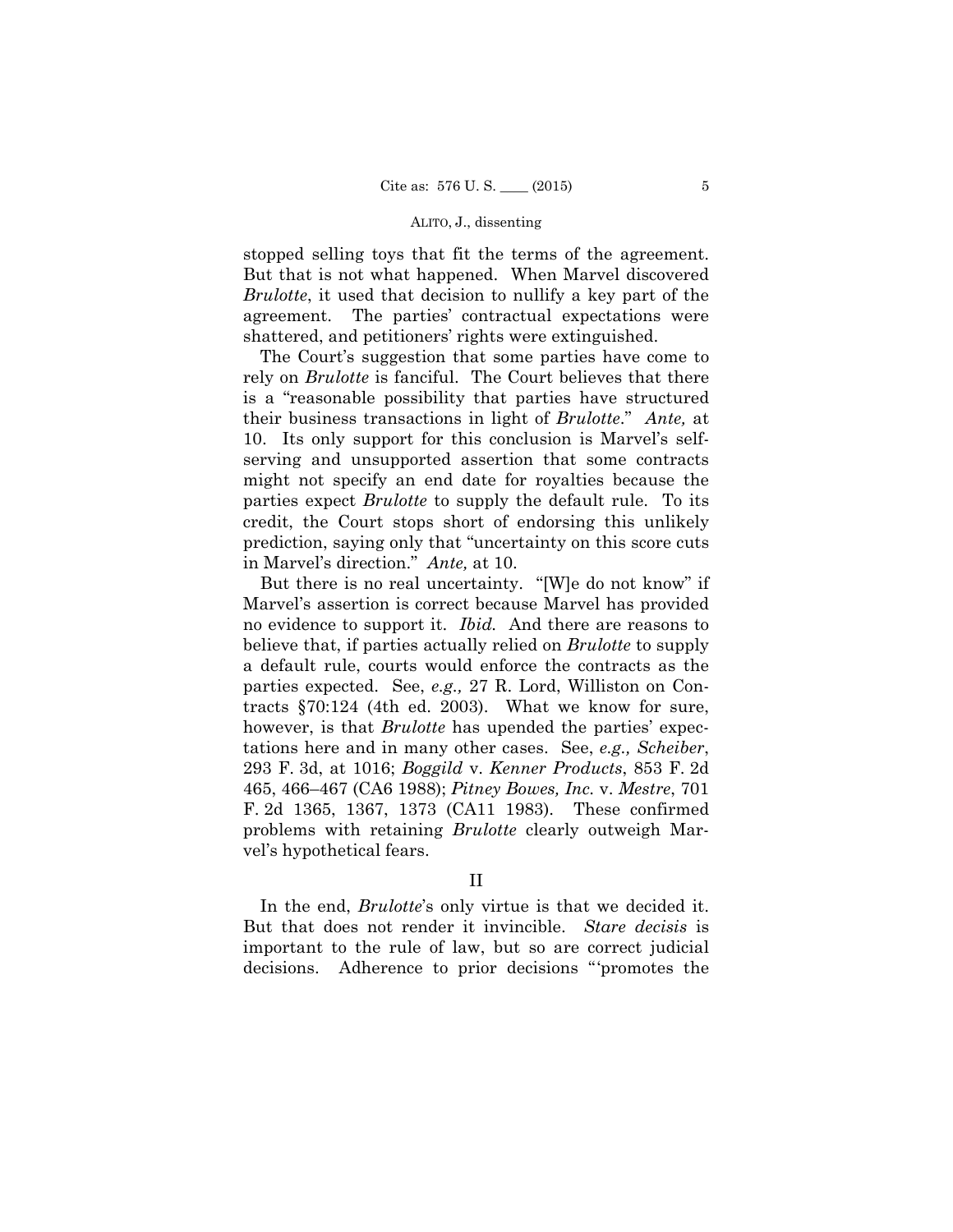stopped selling toys that fit the terms of the agreement. But that is not what happened. When Marvel discovered *Brulotte*, it used that decision to nullify a key part of the agreement. The parties' contractual expectations were shattered, and petitioners' rights were extinguished.

 their business transactions in light of *Brulotte*." *Ante,* at The Court's suggestion that some parties have come to rely on *Brulotte* is fanciful. The Court believes that there is a "reasonable possibility that parties have structured 10. Its only support for this conclusion is Marvel's selfserving and unsupported assertion that some contracts might not specify an end date for royalties because the parties expect *Brulotte* to supply the default rule. To its credit, the Court stops short of endorsing this unlikely prediction, saying only that "uncertainty on this score cuts in Marvel's direction." *Ante,* at 10.

But there is no real uncertainty. "[W]e do not know" if Marvel's assertion is correct because Marvel has provided no evidence to support it. *Ibid.* And there are reasons to believe that, if parties actually relied on *Brulotte* to supply a default rule, courts would enforce the contracts as the parties expected. See, *e.g.,* 27 R. Lord, Williston on Contracts §70:124 (4th ed. 2003). What we know for sure, however, is that *Brulotte* has upended the parties' expectations here and in many other cases. See, *e.g., Scheiber*, 293 F. 3d, at 1016; *Boggild* v. *Kenner Products*, 853 F. 2d 465, 466–467 (CA6 1988); *Pitney Bowes, Inc.* v. *Mestre*, 701 F. 2d 1365, 1367, 1373 (CA11 1983). These confirmed problems with retaining *Brulotte* clearly outweigh Marvel's hypothetical fears.

In the end, *Brulotte*'s only virtue is that we decided it. But that does not render it invincible. *Stare decisis* is important to the rule of law, but so are correct judicial decisions. Adherence to prior decisions "'promotes the

II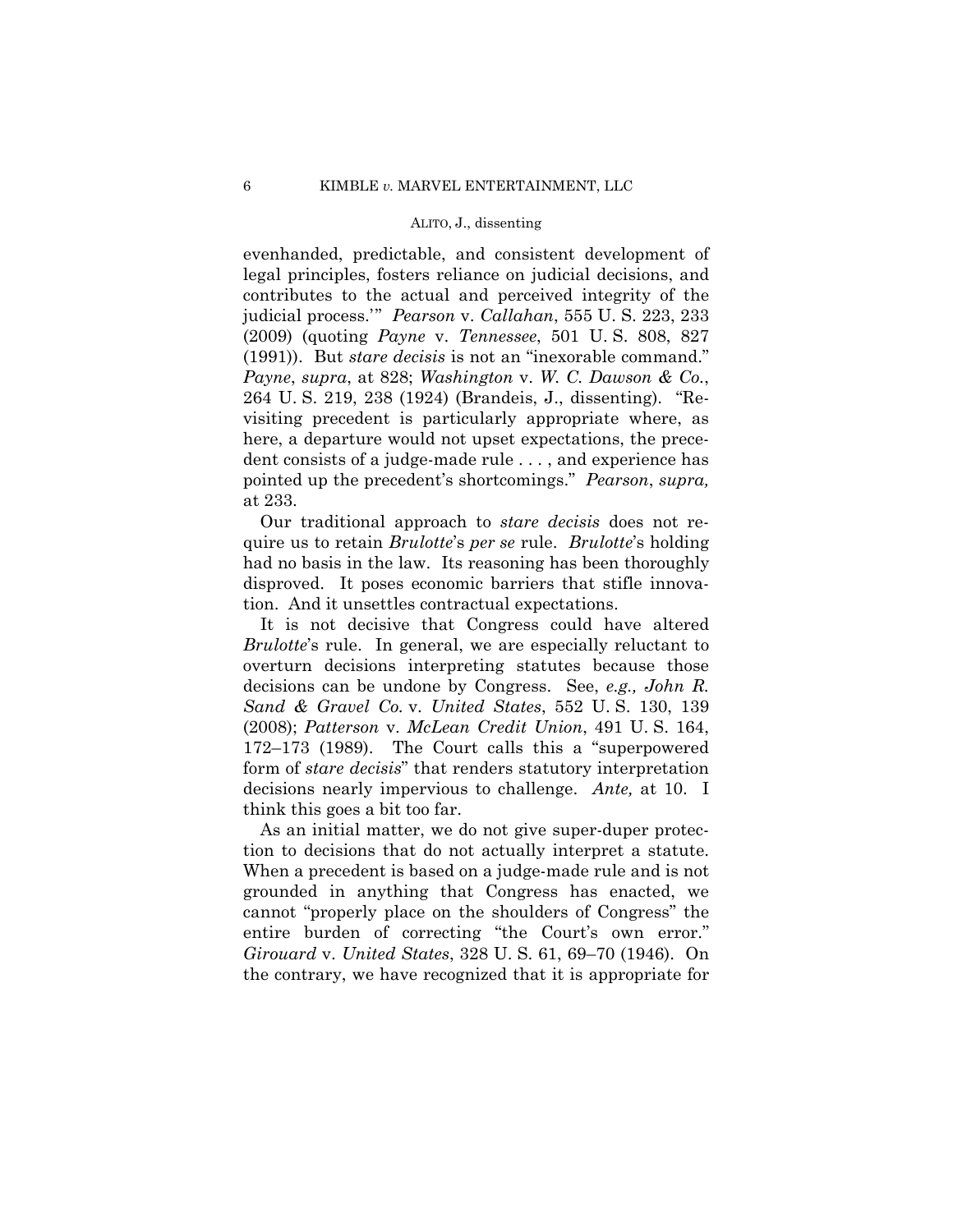evenhanded, predictable, and consistent development of legal principles, fosters reliance on judicial decisions, and contributes to the actual and perceived integrity of the judicial process.'" *Pearson* v. *Callahan*, 555 U. S. 223, 233 (2009) (quoting *Payne* v. *Tennessee*, 501 U. S. 808, 827 (1991)). But *stare decisis* is not an "inexorable command." *Payne*, *supra*, at 828; *Washington* v. *W. C. Dawson & Co.*, 264 U. S. 219, 238 (1924) (Brandeis, J., dissenting). "Revisiting precedent is particularly appropriate where, as here, a departure would not upset expectations, the precedent consists of a judge-made rule . . . , and experience has pointed up the precedent's shortcomings." *Pearson*, *supra,*  at 233.

Our traditional approach to *stare decisis* does not require us to retain *Brulotte*'s *per se* rule. *Brulotte*'s holding had no basis in the law. Its reasoning has been thoroughly disproved. It poses economic barriers that stifle innovation. And it unsettles contractual expectations.

It is not decisive that Congress could have altered *Brulotte*'s rule. In general, we are especially reluctant to overturn decisions interpreting statutes because those decisions can be undone by Congress. See, *e.g., John R. Sand & Gravel Co.* v. *United States*, 552 U. S. 130, 139 (2008); *Patterson* v. *McLean Credit Union*, 491 U. S. 164, 172–173 (1989). The Court calls this a "superpowered form of *stare decisis*" that renders statutory interpretation decisions nearly impervious to challenge. *Ante,* at 10. I think this goes a bit too far.

As an initial matter, we do not give super-duper protection to decisions that do not actually interpret a statute. When a precedent is based on a judge-made rule and is not grounded in anything that Congress has enacted, we cannot "properly place on the shoulders of Congress" the entire burden of correcting "the Court's own error." *Girouard* v. *United States*, 328 U. S. 61, 69–70 (1946). On the contrary, we have recognized that it is appropriate for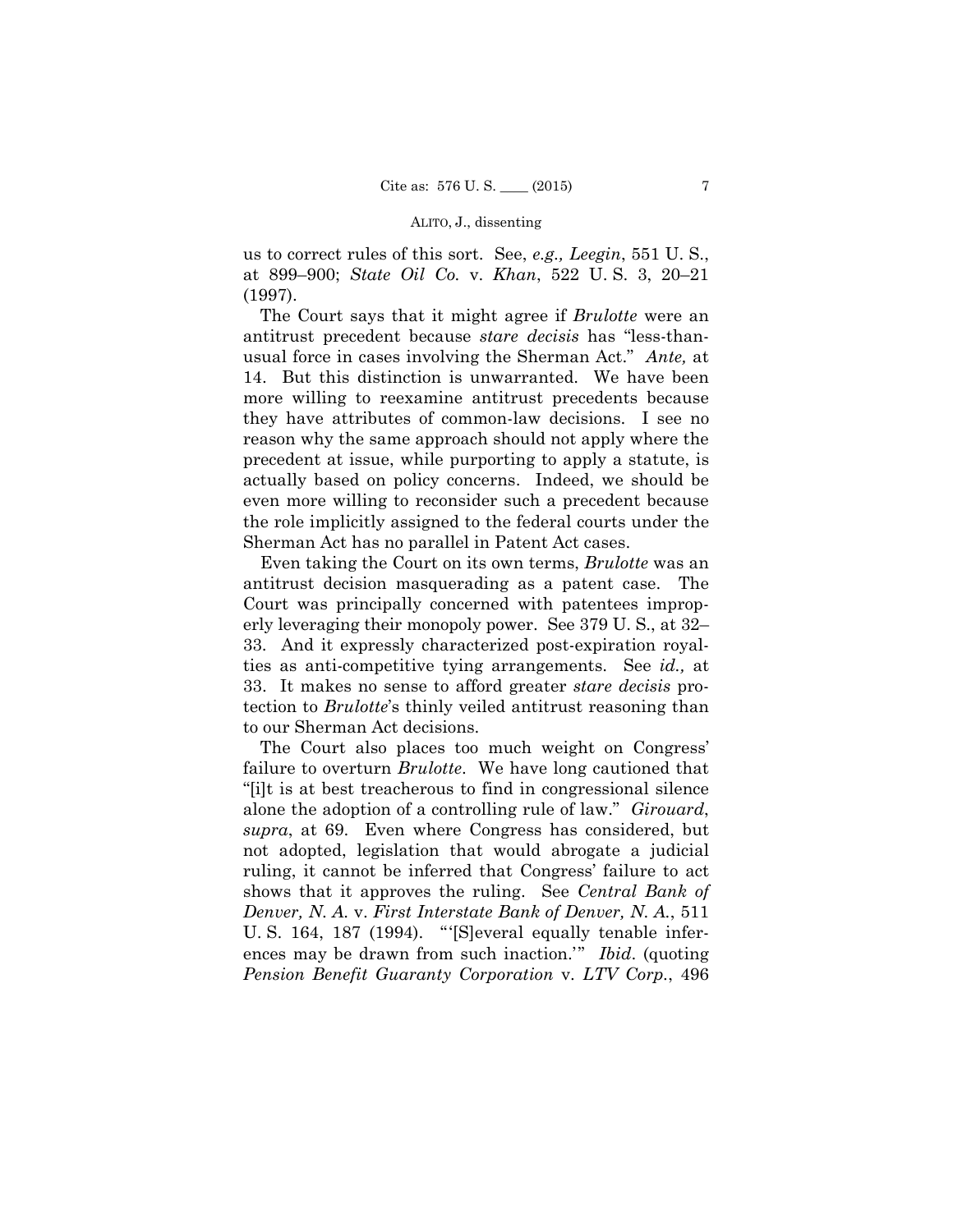us to correct rules of this sort. See, *e.g., Leegin*, 551 U. S., at 899–900; *State Oil Co.* v. *Khan*, 522 U. S. 3, 20–21 (1997).

The Court says that it might agree if *Brulotte* were an antitrust precedent because *stare decisis* has "less-thanusual force in cases involving the Sherman Act." *Ante,* at 14. But this distinction is unwarranted. We have been more willing to reexamine antitrust precedents because they have attributes of common-law decisions. I see no reason why the same approach should not apply where the precedent at issue, while purporting to apply a statute, is actually based on policy concerns. Indeed, we should be even more willing to reconsider such a precedent because the role implicitly assigned to the federal courts under the Sherman Act has no parallel in Patent Act cases.

 erly leveraging their monopoly power. See 379 U. S., at 32– Even taking the Court on its own terms, *Brulotte* was an antitrust decision masquerading as a patent case. The Court was principally concerned with patentees improp-33. And it expressly characterized post-expiration royalties as anti-competitive tying arrangements. See *id.,* at 33. It makes no sense to afford greater *stare decisis* protection to *Brulotte*'s thinly veiled antitrust reasoning than to our Sherman Act decisions.

The Court also places too much weight on Congress' failure to overturn *Brulotte*. We have long cautioned that "[i]t is at best treacherous to find in congressional silence alone the adoption of a controlling rule of law." *Girouard*, *supra*, at 69. Even where Congress has considered, but not adopted, legislation that would abrogate a judicial ruling, it cannot be inferred that Congress' failure to act shows that it approves the ruling. See *Central Bank of Denver, N. A.* v. *First Interstate Bank of Denver, N. A.*, 511 U. S. 164, 187 (1994). "'[S]everal equally tenable inferences may be drawn from such inaction.'" *Ibid*. (quoting *Pension Benefit Guaranty Corporation* v. *LTV Corp.*, 496